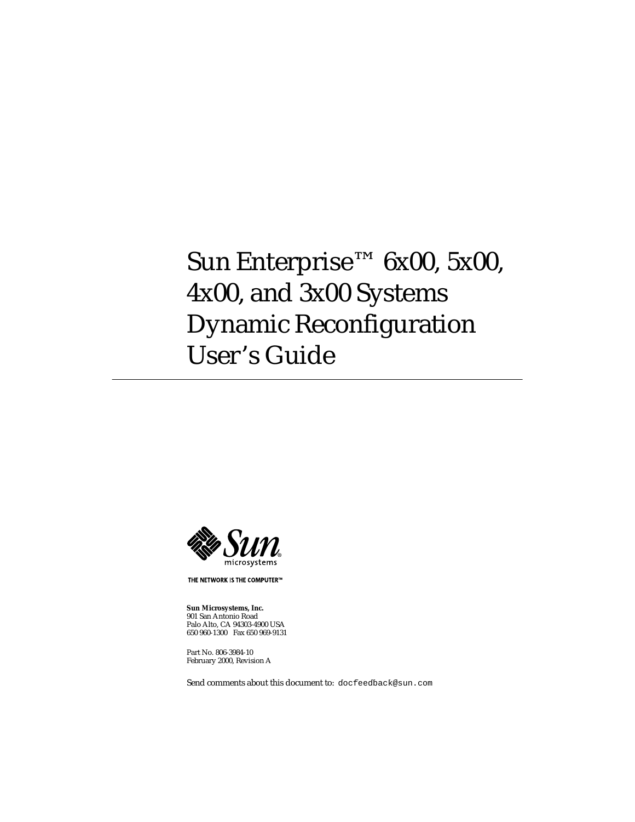Sun Enterprise™ 6x00, 5x00, 4x00, and 3x00 Systems Dynamic Reconfiguration User's Guide



THE NETWORK IS THE COMPUTER™

**Sun Microsystems, Inc.** 901 San Antonio Road Palo Alto, CA 94303-4900 USA 650 960-1300 Fax 650 969-9131

Part No. 806-3984-10 February 2000, Revision A

Send comments about this document to: docfeedback@sun.com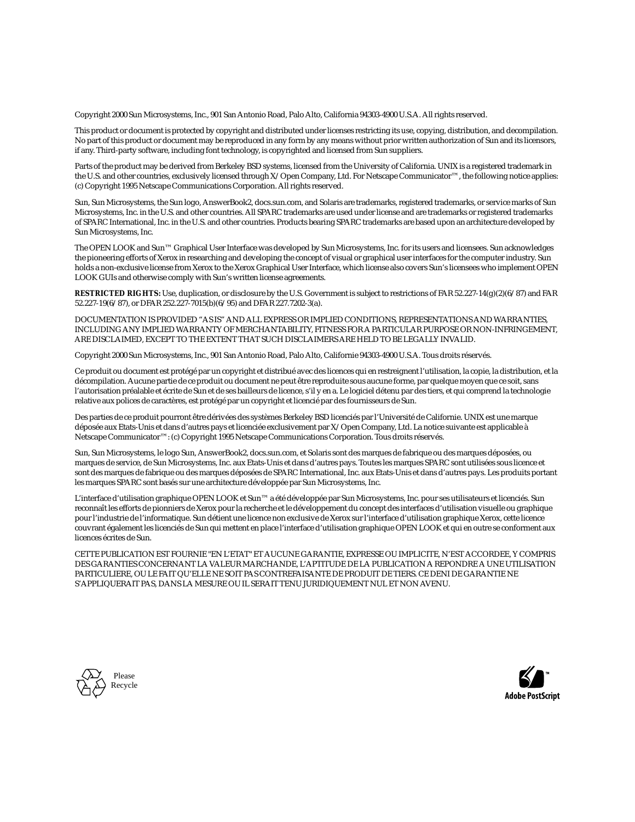Copyright 2000 Sun Microsystems, Inc., 901 San Antonio Road, Palo Alto, California 94303-4900 U.S.A. All rights reserved.

This product or document is protected by copyright and distributed under licenses restricting its use, copying, distribution, and decompilation. No part of this product or document may be reproduced in any form by any means without prior written authorization of Sun and its licensors, if any. Third-party software, including font technology, is copyrighted and licensed from Sun suppliers.

Parts of the product may be derived from Berkeley BSD systems, licensed from the University of California. UNIX is a registered trademark in the U.S. and other countries, exclusively licensed through X/Open Company, Ltd. For Netscape Communicator™, the following notice applies: (c) Copyright 1995 Netscape Communications Corporation. All rights reserved.

Sun, Sun Microsystems, the Sun logo, AnswerBook2, docs.sun.com, and Solaris are trademarks, registered trademarks, or service marks of Sun Microsystems, Inc. in the U.S. and other countries. All SPARC trademarks are used under license and are trademarks or registered trademarks of SPARC International, Inc. in the U.S. and other countries. Products bearing SPARC trademarks are based upon an architecture developed by Sun Microsystems, Inc.

The OPEN LOOK and Sun™ Graphical User Interface was developed by Sun Microsystems, Inc. for its users and licensees. Sun acknowledges the pioneering efforts of Xerox in researching and developing the concept of visual or graphical user interfaces for the computer industry. Sun holds a non-exclusive license from Xerox to the Xerox Graphical User Interface, which license also covers Sun's licensees who implement OPEN LOOK GUIs and otherwise comply with Sun's written license agreements.

**RESTRICTED RIGHTS:** Use, duplication, or disclosure by the U.S. Government is subject to restrictions of FAR 52.227-14(g)(2)(6/87) and FAR 52.227-19(6/87), or DFAR 252.227-7015(b)(6/95) and DFAR 227.7202-3(a).

DOCUMENTATION IS PROVIDED "AS IS" AND ALL EXPRESS OR IMPLIED CONDITIONS, REPRESENTATIONS AND WARRANTIES, INCLUDING ANY IMPLIED WARRANTY OF MERCHANTABILITY, FITNESS FOR A PARTICULAR PURPOSE OR NON-INFRINGEMENT, ARE DISCLAIMED, EXCEPT TO THE EXTENT THAT SUCH DISCLAIMERS ARE HELD TO BE LEGALLY INVALID.

Copyright 2000 Sun Microsystems, Inc., 901 San Antonio Road, Palo Alto, Californie 94303-4900 U.S.A. Tous droits réservés.

Ce produit ou document est protégé par un copyright et distribué avec des licences qui en restreignent l'utilisation, la copie, la distribution, et la décompilation. Aucune partie de ce produit ou document ne peut être reproduite sous aucune forme, par quelque moyen que ce soit, sans l'autorisation préalable et écrite de Sun et de ses bailleurs de licence, s'il y en a. Le logiciel détenu par des tiers, et qui comprend la technologie relative aux polices de caractères, est protégé par un copyright et licencié par des fournisseurs de Sun.

Des parties de ce produit pourront être dérivées des systèmes Berkeley BSD licenciés par l'Université de Californie. UNIX est une marque déposée aux Etats-Unis et dans d'autres pays et licenciée exclusivement par X/Open Company, Ltd. La notice suivante est applicable à Netscape Communicator™: (c) Copyright 1995 Netscape Communications Corporation. Tous droits réservés.

Sun, Sun Microsystems, le logo Sun, AnswerBook2, docs.sun.com, et Solaris sont des marques de fabrique ou des marques déposées, ou marques de service, de Sun Microsystems, Inc. aux Etats-Unis et dans d'autres pays. Toutes les marques SPARC sont utilisées sous licence et sont des marques de fabrique ou des marques déposées de SPARC International, Inc. aux Etats-Unis et dans d'autres pays. Les produits portant les marques SPARC sont basés sur une architecture développée par Sun Microsystems, Inc.

L'interface d'utilisation graphique OPEN LOOK et Sun™ a été développée par Sun Microsystems, Inc. pour ses utilisateurs et licenciés. Sun reconnaît les efforts de pionniers de Xerox pour la recherche et le développement du concept des interfaces d'utilisation visuelle ou graphique pour l'industrie de l'informatique. Sun détient une licence non exclusive de Xerox sur l'interface d'utilisation graphique Xerox, cette licence couvrant également les licenciés de Sun qui mettent en place l'interface d'utilisation graphique OPEN LOOK et qui en outre se conforment aux licences écrites de Sun.

CETTE PUBLICATION EST FOURNIE "EN L'ETAT" ET AUCUNE GARANTIE, EXPRESSE OU IMPLICITE, N'EST ACCORDEE, Y COMPRIS DES GARANTIES CONCERNANT LA VALEUR MARCHANDE, L'APTITUDE DE LA PUBLICATION A REPONDRE A UNE UTILISATION PARTICULIERE, OU LE FAIT QU'ELLE NE SOIT PAS CONTREFAISANTE DE PRODUIT DE TIERS. CE DENI DE GARANTIE NE S'APPLIQUERAIT PAS, DANS LA MESURE OU IL SERAIT TENU JURIDIQUEMENT NUL ET NON AVENU.



Please Recycle

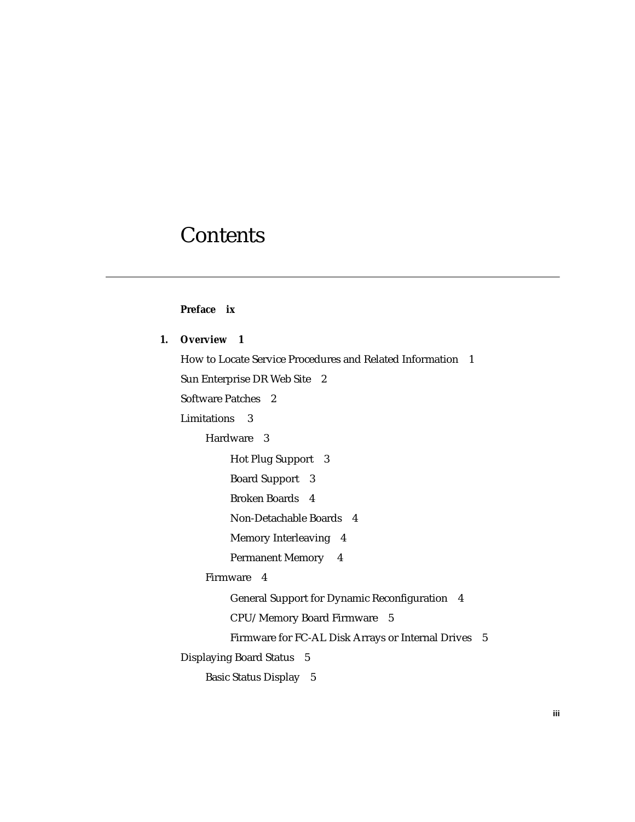# **Contents**

| <b>Preface</b> | ıx |
|----------------|----|
|                |    |

**1.** 

| Overview 1                                                 |
|------------------------------------------------------------|
| How to Locate Service Procedures and Related Information 1 |
| Sun Enterprise DR Web Site 2                               |
| Software Patches 2                                         |
| Limitations 3                                              |
| Hardware 3                                                 |
| Hot Plug Support 3                                         |
| <b>Board Support</b> 3                                     |
| <b>Broken Boards</b> 4                                     |
| Non-Detachable Boards 4                                    |
| Memory Interleaving 4                                      |
| <b>Permanent Memory</b> 4                                  |
| Firmware 4                                                 |
| <b>General Support for Dynamic Reconfiguration</b> 4       |
| CPU/Memory Board Firmware<br>- 5                           |
| Firmware for FC-AL Disk Arrays or Internal Drives 5        |
| Displaying Board Status 5                                  |
| <b>Basic Status Display</b> 5                              |
|                                                            |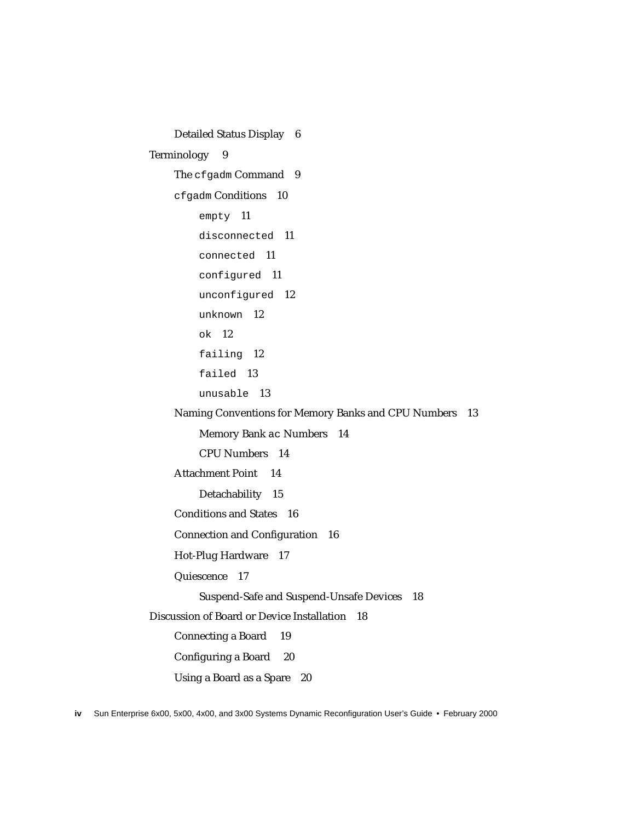[Detailed Status Display](#page-17-0) 6 [Terminology](#page-20-0) 9 [The](#page-20-1) cfgadm Command 9 [cfgadm](#page-21-0) Conditions 10 [empty](#page-22-0) 11 [disconnected](#page-22-1) 11 [connected](#page-22-2) 11 [configured](#page-22-3) 11 [unconfigured](#page-23-0) 12 [unknown](#page-23-1) 12 [ok](#page-23-2) 12 [failing](#page-23-3) 12 [failed](#page-24-0) 13 [unusable](#page-24-1) 13 [Naming Conventions for Memory Banks and CPU Numbers](#page-24-2) 13 [Memory Bank](#page-25-0) ac Numbers 14 [CPU Numbers](#page-25-1) 14 [Attachment Point 1](#page-25-2)4 [Detachability 1](#page-26-0)5 [Conditions and States](#page-27-0) 16 [Connection and Configuration](#page-27-1) 16 [Hot-Plug Hardware](#page-28-0) 17 [Quiescence](#page-28-1) 17 [Suspend-Safe and Suspend-Unsafe Devices](#page-29-0) 18 [Discussion of Board or Device Installation 1](#page-29-1)8 [Connecting a Board 1](#page-30-0)9 [Configuring a Board](#page-31-0) 20 [Using a Board as a Spare 2](#page-31-1)0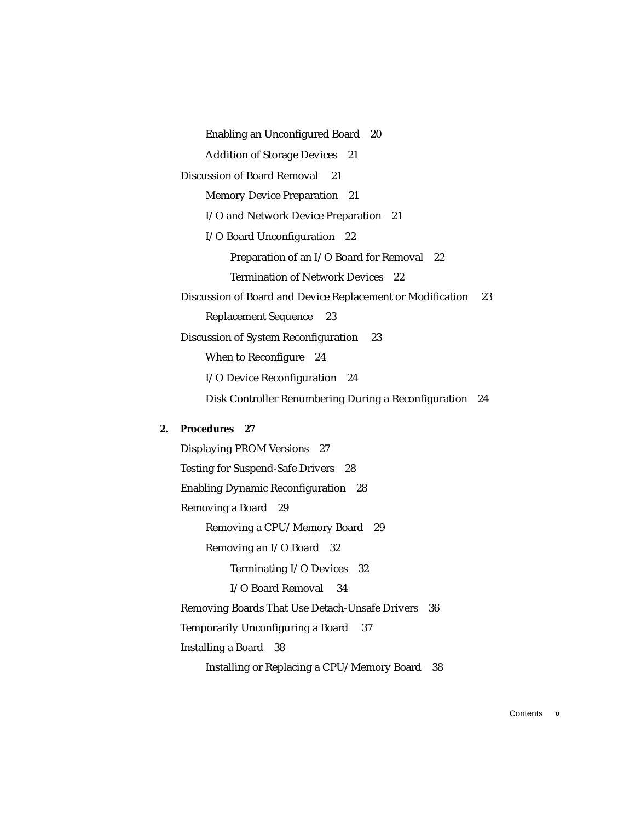[Enabling an Unconfigured Board](#page-31-2) 20 [Addition of Storage Devices](#page-32-0) 21 [Discussion of Board Removal](#page-32-1) 21 [Memory Device Preparation 2](#page-32-2)1 [I/O and Network Device Preparation 2](#page-32-3)1 [I/O Board Unconfiguration 2](#page-33-0)2 [Preparation of an I/O Board for Removal](#page-33-1) 22 [Termination of Network Devices 2](#page-33-2)2 [Discussion of Board and Device Replacement or Modification](#page-34-0) 23 [Replacement Sequence](#page-34-1) 23 [Discussion of System Reconfiguration 2](#page-34-2)3 [When to Reconfigure 2](#page-35-0)4 [I/O Device Reconfiguration 2](#page-35-1)4 [Disk Controller Renumbering During a Reconfiguration 2](#page-35-2)4

#### **2. [Procedures 2](#page-38-0)7**

[Displaying PROM Versions 2](#page-38-1)7 [Testing for Suspend-Safe Drivers 2](#page-39-0)8 [Enabling Dynamic Reconfiguration](#page-39-1) 28 [Removing a Board 2](#page-40-0)9 [Removing a CPU/Memory Board](#page-40-1) 29 [Removing an I/O Board 3](#page-43-0)2 [Terminating I/O Devices](#page-43-1) 32 [I/O Board Removal](#page-45-0) 34 [Removing Boards That Use Detach-Unsafe Drivers](#page-47-0) 36 [Temporarily Unconfiguring a Board 3](#page-48-0)7 [Installing a Board](#page-49-0) 38 [Installing or Replacing a CPU/Memory Board 3](#page-49-1)8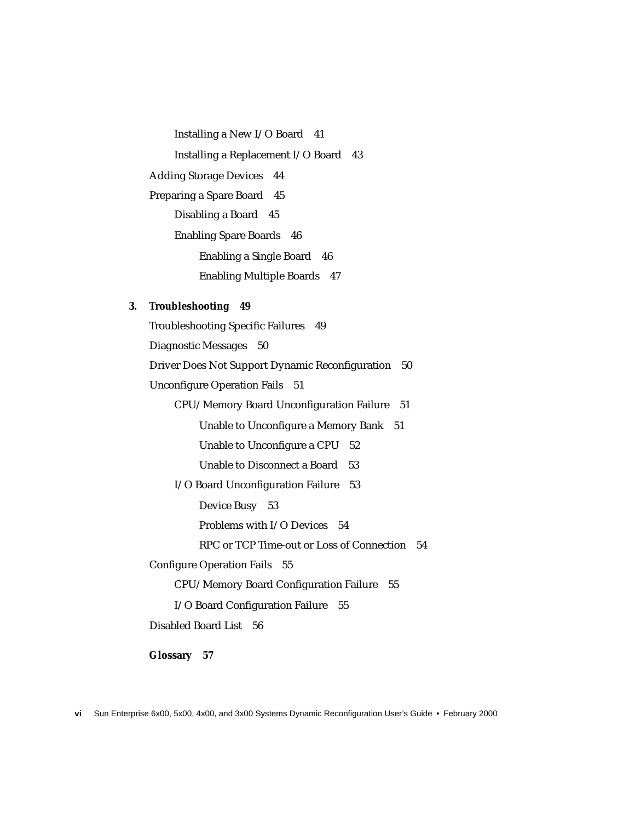[Installing a New I/O Board 4](#page-52-0)1 [Installing a Replacement I/O Board](#page-54-0) 43 [Adding Storage Devices](#page-55-0) 44 [Preparing a Spare Board](#page-56-0) 45 [Disabling a Board 4](#page-56-1)5 [Enabling Spare Boards](#page-57-0) 46 [Enabling a Single Board](#page-57-1) 46 [Enabling Multiple Boards](#page-58-0) 47

#### **3. [Troubleshooting](#page-60-0) 49**

[Troubleshooting Specific Failures 4](#page-60-1)9 [Diagnostic Messages](#page-61-0) 50 [Driver Does Not Support Dynamic Reconfiguration](#page-61-1) 50 [Unconfigure Operation Fails](#page-62-0) 51 [CPU/Memory Board Unconfiguration Failure](#page-62-1) 51 [Unable to Unconfigure a Memory Bank 5](#page-62-2)1 [Unable to Unconfigure a CPU 5](#page-63-0)2 [Unable to Disconnect a Board 5](#page-64-0)3 [I/O Board Unconfiguration Failure 5](#page-64-1)3 [Device Busy 5](#page-64-2)3 [Problems with I/O Devices 5](#page-65-0)4 [RPC or TCP Time-out or Loss of Connection](#page-65-1) 54 [Configure Operation Fails 5](#page-66-0)5 [CPU/Memory Board Configuration Failure](#page-66-1) 55 [I/O Board Configuration Failure 5](#page-66-2)5 [Disabled Board List](#page-67-0) 56

**[Glossary](#page-68-0) 57**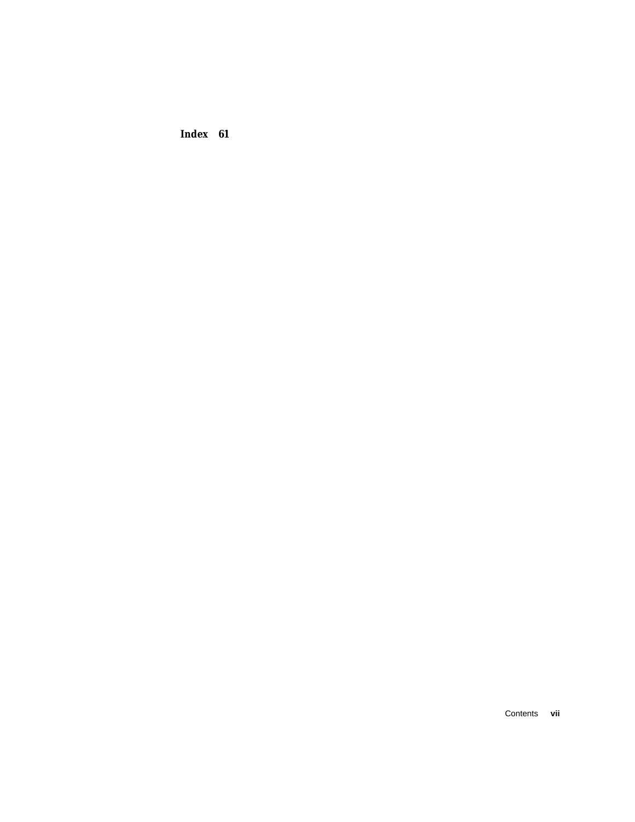**[Index 6](#page-72-0)1**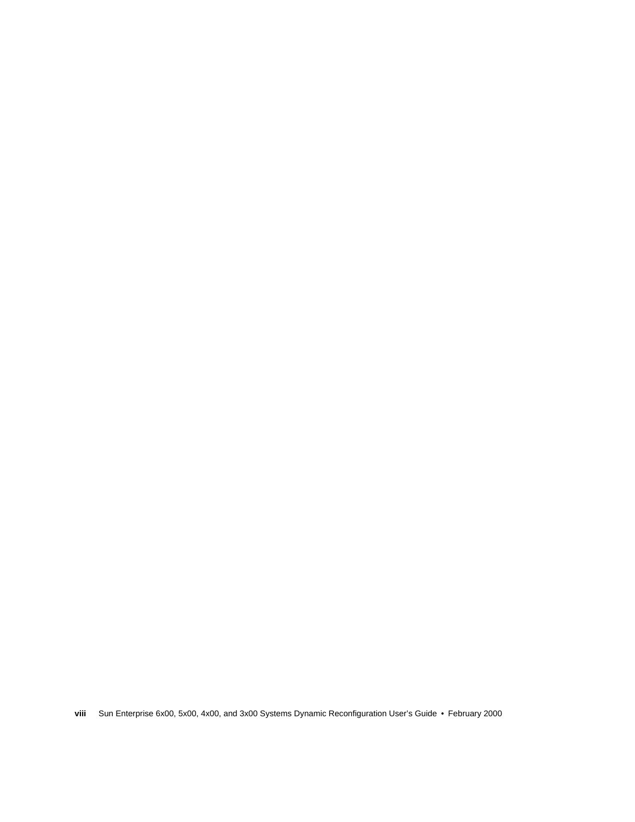**viii** Sun Enterprise 6x00, 5x00, 4x00, and 3x00 Systems Dynamic Reconfiguration User's Guide • February 2000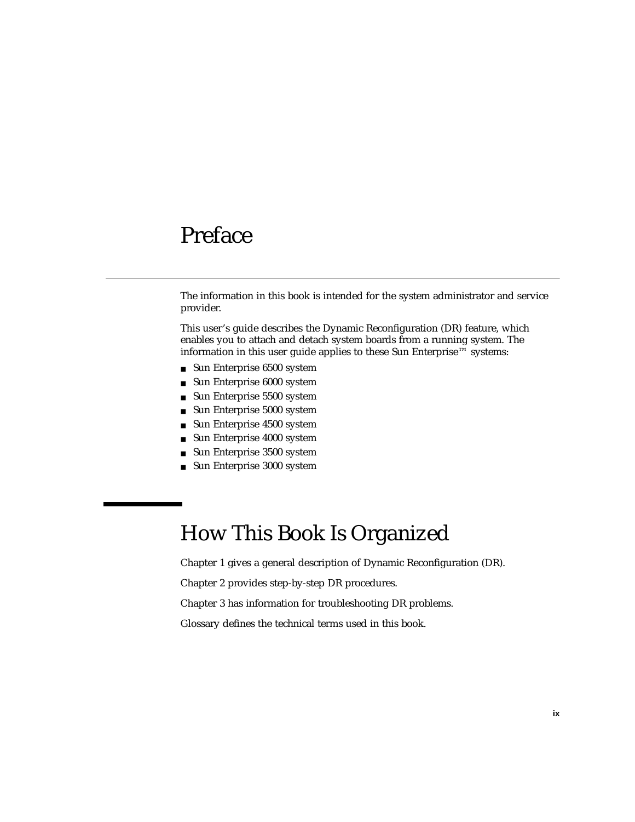# <span id="page-8-0"></span>Preface

The information in this book is intended for the system administrator and service provider.

This user's guide describes the Dynamic Reconfiguration (DR) feature, which enables you to attach and detach system boards from a running system. The information in this user guide applies to these Sun Enterprise™ systems:

- Sun Enterprise 6500 system
- Sun Enterprise 6000 system
- Sun Enterprise 5500 system
- Sun Enterprise 5000 system
- Sun Enterprise 4500 system
- Sun Enterprise 4000 system
- Sun Enterprise 3500 system
- Sun Enterprise 3000 system

# How This Book Is Organized

[Chapter 1](#page-12-2) gives a general description of Dynamic Reconfiguration (DR).

[Chapter 2](#page-38-2) provides step-by-step DR procedures.

[Chapter 3](#page-60-2) has information for troubleshooting DR problems.

Glossary defines the technical terms used in this book.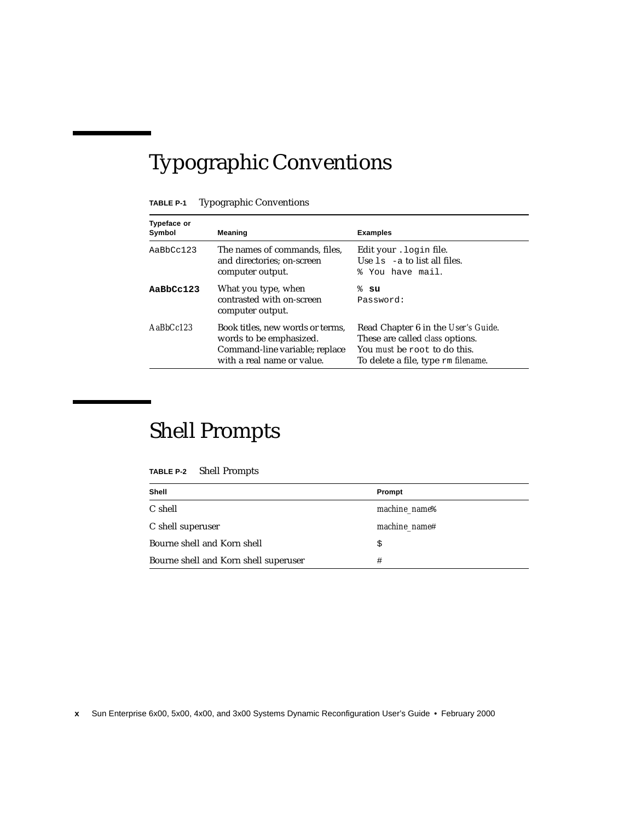# Typographic Conventions

#### **TABLE P-1** Typographic Conventions

| <b>Typeface or</b><br>Symbol | <b>Meaning</b>                                                                                                              | <b>Examples</b>                                                                                                                                              |
|------------------------------|-----------------------------------------------------------------------------------------------------------------------------|--------------------------------------------------------------------------------------------------------------------------------------------------------------|
| AaBbCc123                    | The names of commands, files,<br>and directories; on-screen<br>computer output.                                             | Edit your . login file.<br>Use $1s$ -a to list all files.<br>% You have mail.                                                                                |
| AaBbCc123                    | What you type, when<br>contrasted with on-screen<br>computer output.                                                        | ៖ su<br>Password:                                                                                                                                            |
| $A$ aBb $Cc123$              | Book titles, new words or terms,<br>words to be emphasized.<br>Command-line variable; replace<br>with a real name or value. | Read Chapter 6 in the User's Guide.<br>These are called <i>class</i> options.<br>You must be root to do this.<br>To delete a file, type rm <i>filename</i> . |

# Shell Prompts

| <b>TABLE P-2</b> | <b>Shell Prompts</b> |
|------------------|----------------------|
|------------------|----------------------|

| Shell                                 | Prompt                    |
|---------------------------------------|---------------------------|
| C shell                               | machine name <sup>§</sup> |
| C shell superuser                     | machine name#             |
| Bourne shell and Korn shell           | \$                        |
| Bourne shell and Korn shell superuser | #                         |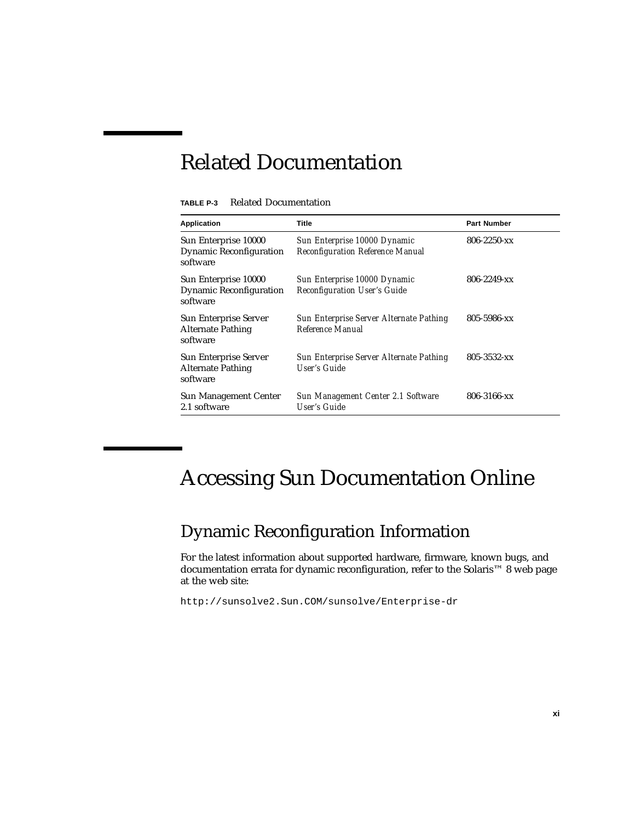# Related Documentation

| <b>Application</b>                                                 | <b>Title</b>                                                            | <b>Part Number</b> |
|--------------------------------------------------------------------|-------------------------------------------------------------------------|--------------------|
| Sun Enterprise 10000<br><b>Dynamic Reconfiguration</b><br>software | Sun Enterprise 10000 Dynamic<br><b>Reconfiguration Reference Manual</b> | $806 - 2250 - xx$  |
| Sun Enterprise 10000<br><b>Dynamic Reconfiguration</b><br>software | Sun Enterprise 10000 Dynamic<br>Reconfiguration User's Guide            | $806 - 2249 - xx$  |
| Sun Enterprise Server<br><b>Alternate Pathing</b><br>software      | Sun Enterprise Server Alternate Pathing<br>Reference Manual             | 805-5986-xx        |
| Sun Enterprise Server<br><b>Alternate Pathing</b><br>software      | <b>Sun Enterprise Server Alternate Pathing</b><br><b>User's Guide</b>   | 805-3532-xx        |
| Sun Management Center<br>2.1 software                              | Sun Management Center 2.1 Software<br><b>User's Guide</b>               | 806-3166-xx        |

#### **TABLE P-3** Related Documentation

# Accessing Sun Documentation Online

## Dynamic Reconfiguration Information

For the latest information about supported hardware, firmware, known bugs, and documentation errata for dynamic reconfiguration, refer to the Solaris™ 8 web page at the web site:

http://sunsolve2.Sun.COM/sunsolve/Enterprise-dr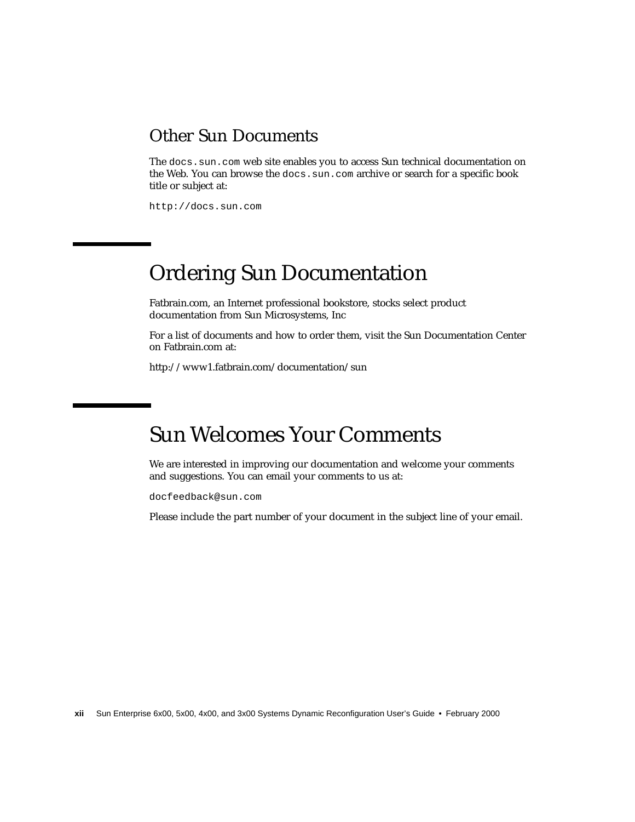### Other Sun Documents

The docs.sun.com web site enables you to access Sun technical documentation on the Web. You can browse the docs.sun.com archive or search for a specific book title or subject at:

http://docs.sun.com

# Ordering Sun Documentation

Fatbrain.com, an Internet professional bookstore, stocks select product documentation from Sun Microsystems, Inc

For a list of documents and how to order them, visit the Sun Documentation Center on Fatbrain.com at:

http://www1.fatbrain.com/documentation/sun

# Sun Welcomes Your Comments

We are interested in improving our documentation and welcome your comments and suggestions. You can email your comments to us at:

docfeedback@sun.com

Please include the part number of your document in the subject line of your email.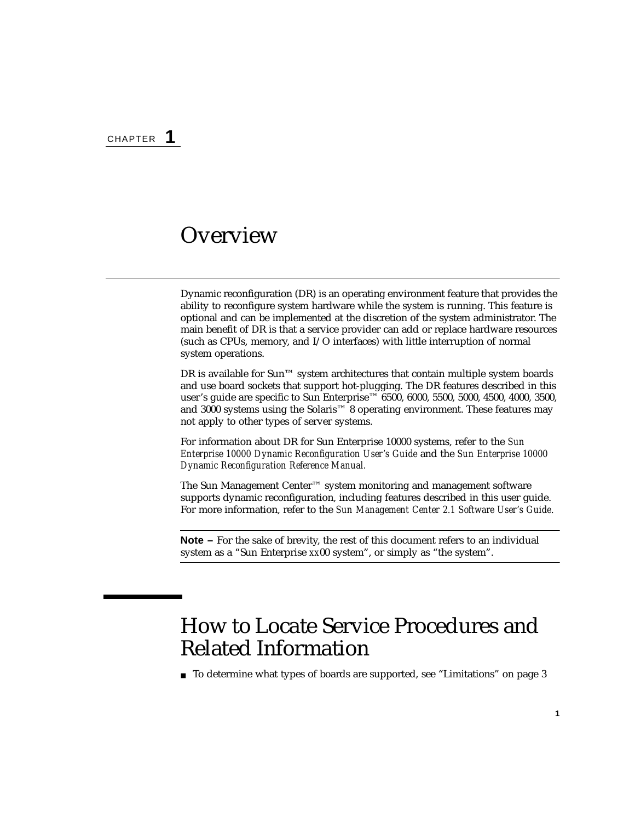<span id="page-12-2"></span>CHAPTER **1**

## <span id="page-12-0"></span>**Overview**

Dynamic reconfiguration (DR) is an operating environment feature that provides the ability to reconfigure system hardware while the system is running. This feature is optional and can be implemented at the discretion of the system administrator. The main benefit of DR is that a service provider can add or replace hardware resources (such as CPUs, memory, and I/O interfaces) with little interruption of normal system operations.

DR is available for Sun™ system architectures that contain multiple system boards and use board sockets that support hot-plugging. The DR features described in this user's guide are specific to Sun Enterprise™ 6500, 6000, 5500, 5000, 4500, 4000, 3500, and 3000 systems using the Solaris™ 8 operating environment. These features may not apply to other types of server systems.

For information about DR for Sun Enterprise 10000 systems, refer to the *Sun Enterprise 10000 Dynamic Reconfiguration User's Guide* and the *Sun Enterprise 10000 Dynamic Reconfiguration Reference Manual.*

The Sun Management Center™ system monitoring and management software supports dynamic reconfiguration, including features described in this user guide. For more information, refer to the *Sun Management Center 2.1 Software User's Guide*.

**Note –** For the sake of brevity, the rest of this document refers to an individual system as a "Sun Enterprise *xx*00 system", or simply as "the system".

# <span id="page-12-1"></span>How to Locate Service Procedures and Related Information

■ To determine what types of boards are supported, see ["Limitations" on page 3](#page-14-0)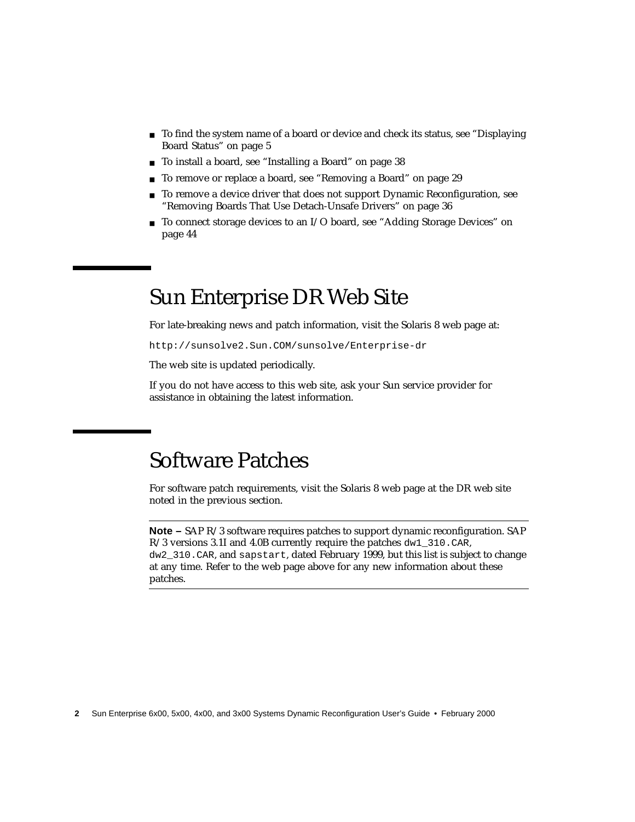- To find the system name of a board or device and check its status, see ["Displaying](#page-16-2)" [Board Status" on page 5](#page-16-2)
- To install a board, see ["Installing a Board" on page 38](#page-49-2)
- To remove or replace a board, see ["Removing a Board" on page 29](#page-40-2)
- To remove a device driver that does not support Dynamic Reconfiguration, see ["Removing Boards That Use Detach-Unsafe Drivers" on page 36](#page-47-1)
- To connect storage devices to an I/O board, see ["Adding Storage Devices" on](#page-55-1) [page 44](#page-55-1)

# <span id="page-13-0"></span>Sun Enterprise DR Web Site

For late-breaking news and patch information, visit the Solaris 8 web page at:

http://sunsolve2.Sun.COM/sunsolve/Enterprise-dr

The web site is updated periodically.

If you do not have access to this web site, ask your Sun service provider for assistance in obtaining the latest information.

## <span id="page-13-1"></span>Software Patches

For software patch requirements, visit the Solaris 8 web page at the DR web site noted in the previous section.

**Note –** SAP R/3 software requires patches to support dynamic reconfiguration. SAP  $R/3$  versions 3.1I and 4.0B currently require the patches  $dw1$  310.CAR, dw2\_310.CAR, and sapstart, dated February 1999, but this list is subject to change at any time. Refer to the web page above for any new information about these patches.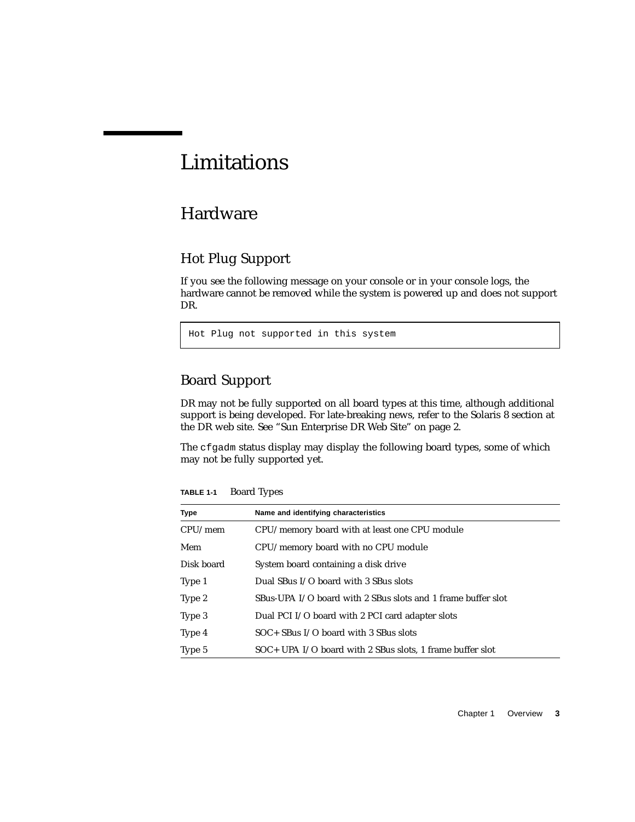# <span id="page-14-0"></span>Limitations

## <span id="page-14-1"></span>Hardware

### <span id="page-14-2"></span>Hot Plug Support

If you see the following message on your console or in your console logs, the hardware cannot be removed while the system is powered up and does not support DR.

Hot Plug not supported in this system

### <span id="page-14-3"></span>Board Support

DR may not be fully supported on all board types at this time, although additional support is being developed. For late-breaking news, refer to the Solaris 8 section at the DR web site. See ["Sun Enterprise DR Web Site" on page 2.](#page-13-0)

The cfgadm status display may display the following board types, some of which may not be fully supported yet.

| <b>TABLE 1-1</b> | <b>Board Types</b> |  |
|------------------|--------------------|--|
|------------------|--------------------|--|

| <b>Type</b> | Name and identifying characteristics                         |  |  |
|-------------|--------------------------------------------------------------|--|--|
| CPU/mem     | CPU/memory board with at least one CPU module                |  |  |
| Mem         | CPU/memory board with no CPU module                          |  |  |
| Disk board  | System board containing a disk drive                         |  |  |
| Type 1      | Dual SBus I/O board with 3 SBus slots                        |  |  |
| Type 2      | SBus-UPA I/O board with 2 SBus slots and 1 frame buffer slot |  |  |
| Type 3      | Dual PCI I/O board with 2 PCI card adapter slots             |  |  |
| Type 4      | $SOC + SBus I/O$ board with 3 SBus slots                     |  |  |
| Type 5      | $SOC+ UPA I/O$ board with 2 SBus slots, 1 frame buffer slot  |  |  |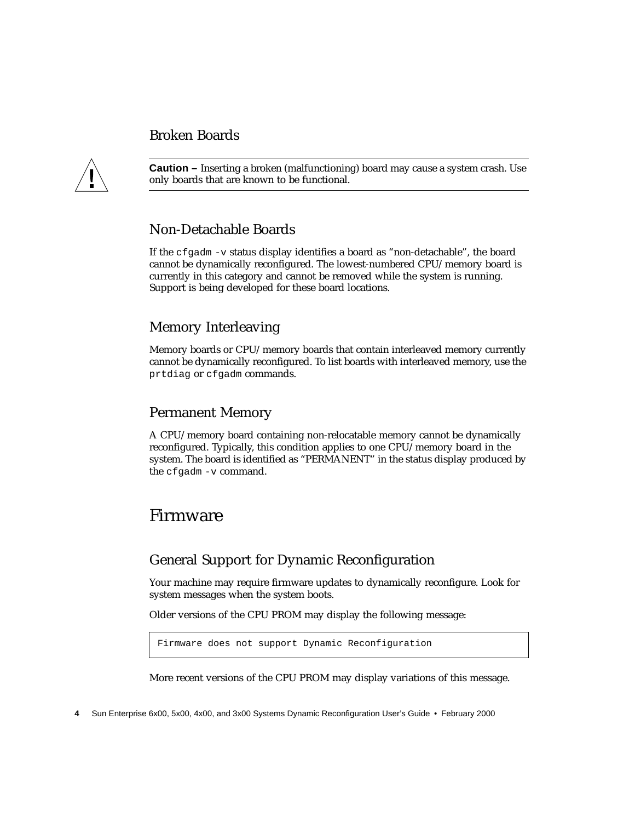<span id="page-15-1"></span><span id="page-15-0"></span>

**Caution –** Inserting a broken (malfunctioning) board may cause a system crash. Use only boards that are known to be functional.

### Non-Detachable Boards

If the cfgadm -v status display identifies a board as "non-detachable", the board cannot be dynamically reconfigured. The lowest-numbered CPU/memory board is currently in this category and cannot be removed while the system is running. Support is being developed for these board locations.

### <span id="page-15-2"></span>Memory Interleaving

Memory boards or CPU/memory boards that contain interleaved memory currently cannot be dynamically reconfigured. To list boards with interleaved memory, use the prtdiag or cfgadm commands.

### <span id="page-15-3"></span>Permanent Memory

A CPU/memory board containing non-relocatable memory cannot be dynamically reconfigured. Typically, this condition applies to one CPU/memory board in the system. The board is identified as "PERMANENT" in the status display produced by the  $cf$ gadm  $-v$  command.

## <span id="page-15-4"></span>Firmware

### <span id="page-15-5"></span>General Support for Dynamic Reconfiguration

Your machine may require firmware updates to dynamically reconfigure. Look for system messages when the system boots.

Older versions of the CPU PROM may display the following message:

```
Firmware does not support Dynamic Reconfiguration
```
More recent versions of the CPU PROM may display variations of this message.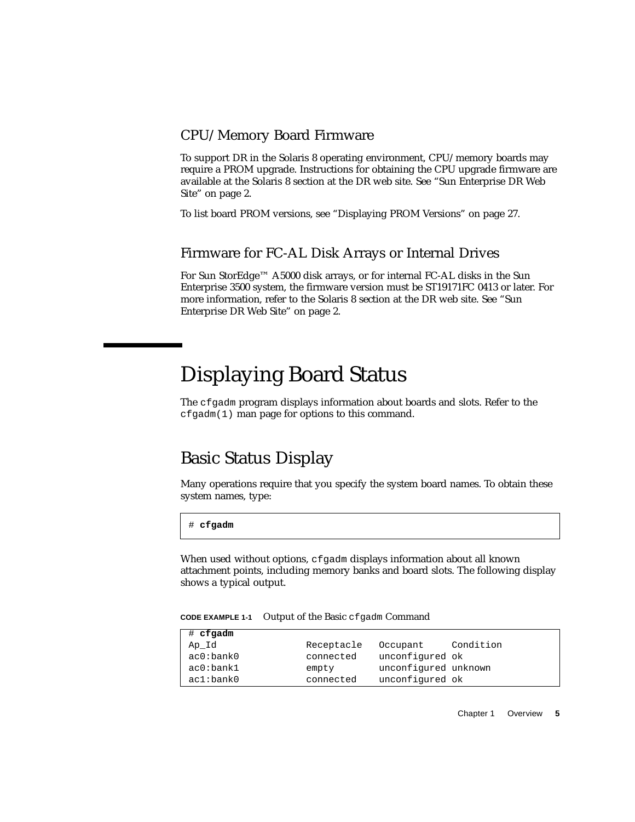### <span id="page-16-0"></span>CPU/Memory Board Firmware

To support DR in the Solaris 8 operating environment, CPU/memory boards may require a PROM upgrade. Instructions for obtaining the CPU upgrade firmware are available at the Solaris 8 section at the DR web site. See ["Sun Enterprise DR Web](#page-13-0) [Site" on page 2.](#page-13-0)

To list board PROM versions, see ["Displaying PROM Versions" on page 27](#page-38-3).

### <span id="page-16-1"></span>Firmware for FC-AL Disk Arrays or Internal Drives

For Sun StorEdge™ A5000 disk arrays, or for internal FC-AL disks in the Sun Enterprise 3500 system, the firmware version must be ST19171FC 0413 or later. For more information, refer to the Solaris 8 section at the DR web site. See ["Sun](#page-13-0) [Enterprise DR Web Site" on page 2.](#page-13-0)

# <span id="page-16-2"></span>Displaying Board Status

The cfgadm program displays information about boards and slots. Refer to the  $cf$ gadm(1) man page for options to this command.

## <span id="page-16-3"></span>Basic Status Display

Many operations require that you specify the system board names. To obtain these system names, type:

# **cfgadm**

When used without options,  $cf$ gadm displays information about all known attachment points, including memory banks and board slots. The following display shows a typical output.

| cfgadm    |            |                      |           |
|-----------|------------|----------------------|-----------|
| Ap_Id     | Receptacle | Occupant             | Condition |
| ac0:bank0 | connected  | unconfigured ok      |           |
| ac0:bank1 | empty      | unconfigured unknown |           |
| ac1:bank0 | connected  | unconfigured ok      |           |

<span id="page-16-4"></span>**CODE EXAMPLE 1-1** Output of the Basic cfgadm Command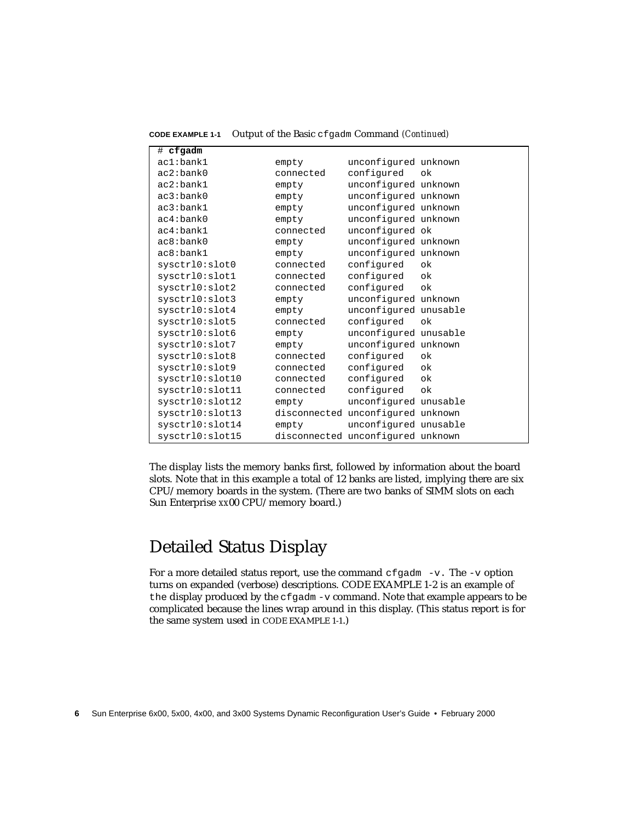| # cfgadm        |           |                                   |    |
|-----------------|-----------|-----------------------------------|----|
| ac1:bank1       | empty     | unconfigured unknown              |    |
| ac2:bank0       | connected | configured                        | ok |
| ac2:bank1       | empty     | unconfiqured unknown              |    |
| ac3:bank0       | empty     | unconfigured unknown              |    |
| ac3:bank1       | empty     | unconfigured unknown              |    |
| ac4:bank0       | empty     | unconfiqured unknown              |    |
| ac4:bank1       | connected | unconfigured ok                   |    |
| ac8:bank0       | empty     | unconfiqured unknown              |    |
| ac8:bank1       | empty     | unconfigured unknown              |    |
| sysctrl0:slot0  | connected | configured                        | ok |
| sysctrl0:slot1  | connected | configured                        | ok |
| sysctrl0:slot2  | connected | configured                        | ok |
| systr10:slot3   | empty     | unconfigured unknown              |    |
| sysctrl0:slot4  | empty     | unconfigured unusable             |    |
| sysctrl0:slot5  | connected | configured                        | ok |
| sysctrl0:slot6  | empty     | unconfigured unusable             |    |
| sysctrl0:slot7  | empty     | unconfiqured unknown              |    |
| sysctrl0:slot8  | connected | configured                        | ok |
| sysctrl0:slot9  | connected | configured                        | ok |
| sysctrl0:slot10 | connected | configured                        | ok |
| sysctrl0:slot11 | connected | configured                        | ok |
| sysctrl0:slot12 | empty     | unconfigured unusable             |    |
| sysctrl0:slot13 |           | disconnected unconfigured unknown |    |
| sysctrl0:slot14 | empty     | unconfigured unusable             |    |
| sysctrl0:slot15 |           | disconnected unconfigured unknown |    |

**CODE EXAMPLE 1-1** Output of the Basic cfgadm Command *(Continued)*

The display lists the memory banks first, followed by information about the board slots. Note that in this example a total of 12 banks are listed, implying there are six CPU/memory boards in the system. (There are two banks of SIMM slots on each Sun Enterprise *xx*00 CPU/memory board.)

### <span id="page-17-0"></span>Detailed Status Display

For a more detailed status report, use the command  $cf$  gadm  $-v$ . The  $-v$  option turns on expanded (verbose) descriptions. CODE EXAMPLE 1-2 is an example of the display produced by the  $cf$  gadm  $-v$  command. Note that example appears to be complicated because the lines wrap around in this display. (This status report is for the same system used in [CODE EXAMPLE 1-1](#page-16-4).)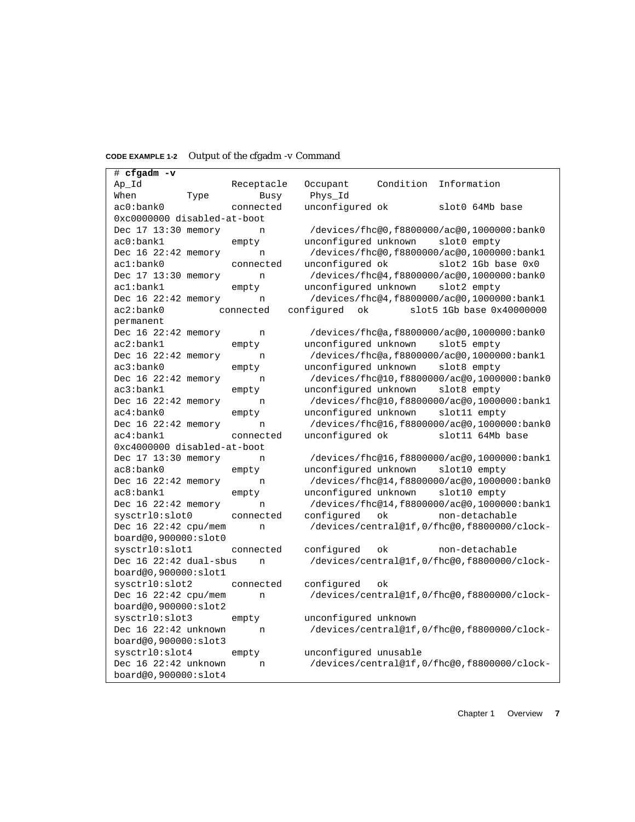| # cfgadm -v                 |            |                                               |
|-----------------------------|------------|-----------------------------------------------|
| Ap_Id                       | Receptacle | Condition Information<br>Occupant             |
| When<br>Type                | Busy       | Phys_Id                                       |
| ac0:bank0                   | connected  | unconfigured ok<br>slot0 64Mb base            |
| 0xc0000000 disabled-at-boot |            |                                               |
| Dec $17$ 13:30 memory       | n          | /devices/fhc@0,f8800000/ac@0,1000000:bank0    |
| ac0:bank1                   | empty      | unconfigured unknown<br>slot0 empty           |
| Dec $16\ 22:42$ memory      | n          | /devices/fhc@0,f8800000/ac@0,1000000:bank1    |
| ac1:bank0                   | connected  | unconfigured ok<br>slot2 1Gb base 0x0         |
| Dec $17$ 13:30 memory       | n          | /devices/fhc@4,f8800000/ac@0,1000000:bank0    |
| ac1:bank1                   | empty      | unconfigured unknown<br>slot2 empty           |
| Dec 16 22:42 memory         | n          | /devices/fhc@4,f8800000/ac@0,1000000:bank1    |
| ac2:bank0                   | connected  | slot5 1Gb base 0x40000000<br>configured<br>ok |
| permanent                   |            |                                               |
| Dec 16 22:42 memory         | n          | /devices/fhc@a,f8800000/ac@0,1000000:bank0    |
| ac2:bank1                   | empty      | unconfigured unknown<br>slot5 empty           |
| Dec $16$ $22:42$ memory     | n          | /devices/fhc@a,f8800000/ac@0,1000000:bank1    |
| ac3:bank0                   | empty      | unconfigured unknown<br>slot8 empty           |
| Dec $16$ $22:42$ memory     | n          | /devices/fhc@10,f8800000/ac@0,1000000:bank0   |
| ac3:bank1                   | empty      | unconfigured unknown<br>slot8 empty           |
| Dec 16 22:42 memory         | n          | /devices/fhc@10,f8800000/ac@0,1000000:bank1   |
| ac4:bank0                   | empty      | unconfigured unknown<br>slot11 empty          |
| Dec 16 22:42 memory         | n          | /devices/fhc@16,f8800000/ac@0,1000000:bank0   |
| ac4:bank1                   | connected  | unconfigured ok<br>slot11 64Mb base           |
| 0xc4000000 disabled-at-boot |            |                                               |
| Dec $17$ $13:30$ memory     | n          | /devices/fhc@16,f8800000/ac@0,1000000:bank1   |
| ac8:bank0                   | empty      | unconfiqured unknown<br>slot10 empty          |
| Dec $16$ $22:42$ memory     | n          | /devices/fhc@14,f8800000/ac@0,1000000:bank0   |
| ac8:bank1                   | empty      | unconfigured unknown<br>slot10 empty          |
| Dec 16 22:42 memory         | n          | /devices/fhc@14,f8800000/ac@0,1000000:bank1   |
| sysctrl0:slot0              | connected  | configured<br>non-detachable<br>ok            |
| Dec $16$ $22:42$ cpu/mem    | n          | /devices/central@1f,0/fhc@0,f8800000/clock-   |
| board@0,900000:slot0        |            |                                               |
| sysctrl0:slot1              | connected  | configured<br>non-detachable<br>ok            |
| Dec $16$ $22:42$ dual-sbus  | n          | /devices/central@1f,0/fhc@0,f8800000/clock-   |
| board@0,900000:slot1        |            |                                               |
| sysctrl0:slot2              | connected  | configured<br>ok                              |
| Dec $16$ $22:42$ cpu/mem    | n          | /devices/central@1f,0/fhc@0,f8800000/clock-   |
| board@0,900000:slot2        |            |                                               |
| sysctrl0:slot3              | empty      | unconfigured unknown                          |
| Dec 16 22:42 unknown        | n          | /devices/central@1f,0/fhc@0,f8800000/clock-   |
| board@0,900000:slot3        |            |                                               |
| $s$ ysctr $10:$ slot $4$    | empty      | unconfigured unusable                         |
| Dec 16 22:42 unknown        | n          | /devices/central@1f,0/fhc@0,f8800000/clock-   |
| board@0,900000:slot4        |            |                                               |

#### <span id="page-18-0"></span>**CODE EXAMPLE 1-2** Output of the cfgadm -v Command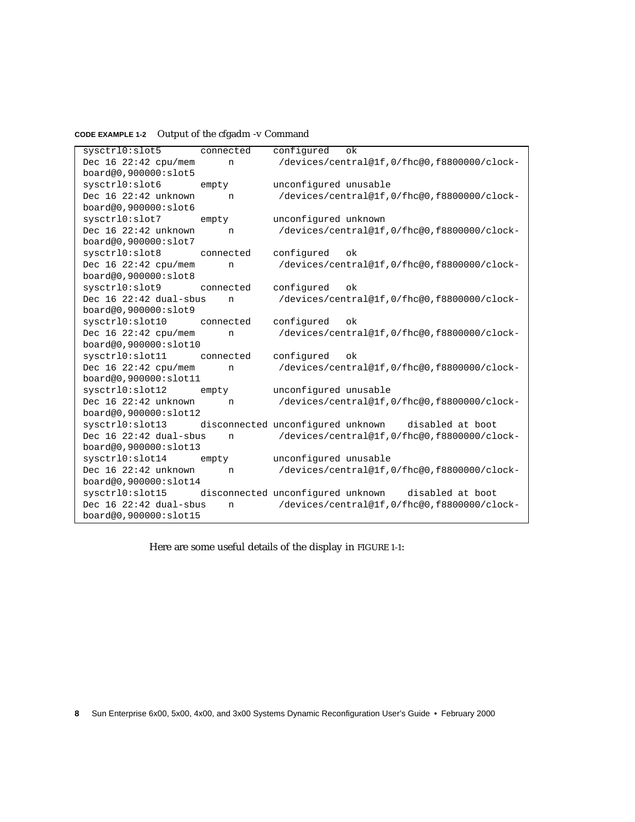#### **CODE EXAMPLE 1-2** Output of the cfgadm -v Command

| sysctrl0:slot5             | connected            | configured<br>ok                                                   |
|----------------------------|----------------------|--------------------------------------------------------------------|
| Dec $16$ $22:42$ cpu/mem   | n                    | /devices/central@1f,0/fhc@0,f8800000/clock-                        |
| board@0,900000:slot5       |                      |                                                                    |
| sysctrl0:slot6             | empty                | unconfigured unusable                                              |
| Dec 16 22:42 unknown       | n                    | /devices/central@1f,0/fhc@0,f8800000/clock-                        |
| board@0,900000:slot6       |                      |                                                                    |
| sysctrl0:slot7             | empty                | unconfigured unknown                                               |
| Dec 16 22:42 unknown       | n                    | /devices/central@1f,0/fhc@0,f8800000/clock-                        |
| board@0,900000:slot7       |                      |                                                                    |
| sysctrl0:slot8             | connected configured | ok                                                                 |
| Dec $16$ $22:42$ cpu/mem   | n                    | /devices/central@1f,0/fhc@0,f8800000/clock-                        |
| board@0,900000:slot8       |                      |                                                                    |
| sysctrl0:slot9 connected   |                      | configured<br>ok                                                   |
| Dec $16$ $22:42$ dual-sbus | n                    | /devices/central@1f,0/fhc@0,f8800000/clock-                        |
| board@0,900000:slot9       |                      |                                                                    |
| sysctrl0:slot10            | connected            | configured<br>ok                                                   |
| Dec $16$ $22:42$ cpu/mem   | n                    | /devices/central@1f,0/fhc@0,f8800000/clock-                        |
| board@0,900000:slot10      |                      |                                                                    |
| sysctrl0:slot11 connected  |                      | configured<br>ok                                                   |
| Dec $16$ $22:42$ cpu/mem   | n                    | /devices/central@1f,0/fhc@0,f8800000/clock-                        |
| board@0,900000:slot11      |                      |                                                                    |
| sysctrl0:slot12 empty      |                      | unconfigured unusable                                              |
| Dec 16 22:42 unknown       | n                    | /devices/central@1f,0/fhc@0,f8800000/clock-                        |
| board@0,900000:slot12      |                      |                                                                    |
|                            |                      | sysctrl0:slot13 disconnected unconfigured unknown disabled at boot |
| Dec $16$ $22:42$ dual-sbus | n                    | /devices/central@1f,0/fhc@0,f8800000/clock-                        |
| board@0,900000:slot13      |                      |                                                                    |
| sysctrl0:slot14            | empty                | unconfigured unusable                                              |
| Dec 16 22:42 unknown       | n                    | /devices/central@1f,0/fhc@0,f8800000/clock-                        |
| board@0,900000:slot14      |                      |                                                                    |
|                            |                      | sysctrl0:slot15 disconnected unconfigured unknown disabled at boot |
| Dec $16$ $22:42$ dual-sbus | n                    | /devices/central@1f,0/fhc@0,f8800000/clock-                        |
| board@0,900000:slot15      |                      |                                                                    |

Here are some useful details of the display in [FIGURE 1-1](#page-20-2):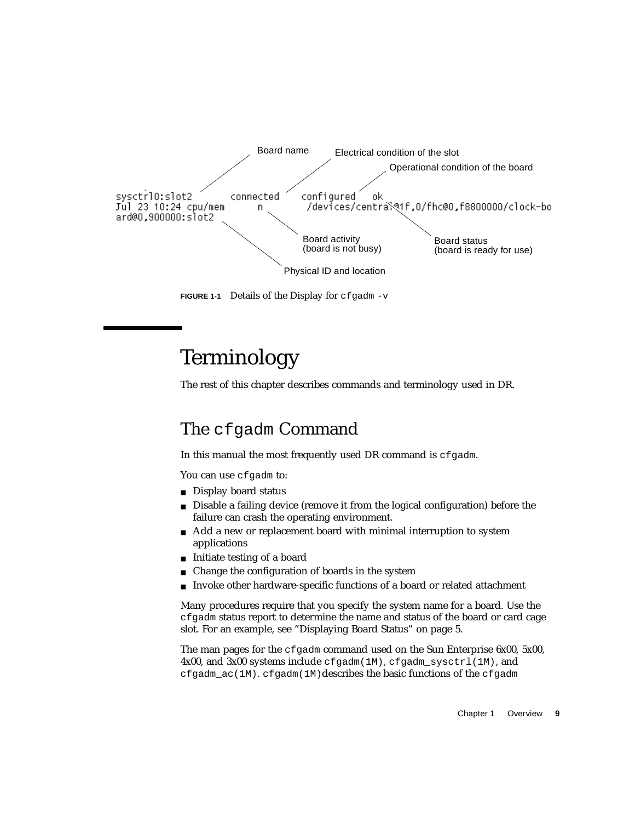

<span id="page-20-2"></span>**FIGURE 1-1** Details of the Display for  $cf$  gadm  $-v$ 

# <span id="page-20-0"></span>Terminology

The rest of this chapter describes commands and terminology used in DR.

## <span id="page-20-1"></span>The cfgadm Command

In this manual the most frequently used DR command is  $cf$  gadm.

You can use cfgadm to:

- Display board status
- Disable a failing device (remove it from the logical configuration) before the failure can crash the operating environment.
- Add a new or replacement board with minimal interruption to system applications
- Initiate testing of a board
- Change the configuration of boards in the system
- Invoke other hardware-specific functions of a board or related attachment

Many procedures require that you specify the system name for a board. Use the cfgadm status report to determine the name and status of the board or card cage slot. For an example, see ["Displaying Board Status" on page 5.](#page-16-2)

The man pages for the  $cf$ gadm command used on the Sun Enterprise 6x00, 5x00, 4x00, and 3x00 systems include cfgadm(1M), cfgadm\_sysctrl(1M), and cfgadm\_ac(1M). cfgadm(1M)describes the basic functions of the cfgadm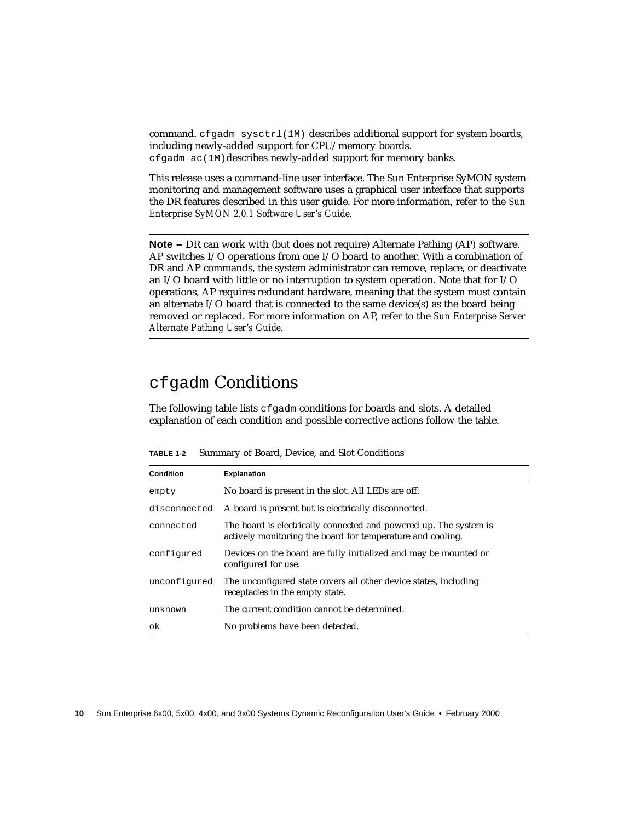command. cfgadm\_sysctrl(1M) describes additional support for system boards, including newly-added support for CPU/memory boards. cfgadm\_ac(1M)describes newly-added support for memory banks.

This release uses a command-line user interface. The Sun Enterprise SyMON system monitoring and management software uses a graphical user interface that supports the DR features described in this user guide. For more information, refer to the *Sun Enterprise SyMON 2.0.1 Software User's Guide*.

**Note –** DR can work with (but does not require) Alternate Pathing (AP) software. AP switches I/O operations from one I/O board to another. With a combination of DR and AP commands, the system administrator can remove, replace, or deactivate an I/O board with little or no interruption to system operation. Note that for I/O operations, AP requires redundant hardware, meaning that the system must contain an alternate  $I/O$  board that is connected to the same device(s) as the board being removed or replaced. For more information on AP, refer to the *Sun Enterprise Server Alternate Pathing User's Guide*.

### <span id="page-21-0"></span>cfgadm Conditions

The following table lists cfgadm conditions for boards and slots. A detailed explanation of each condition and possible corrective actions follow the table.

<span id="page-21-1"></span>**TABLE 1-2** Summary of Board, Device, and Slot Conditions

| <b>Condition</b> | <b>Explanation</b>                                                                                                              |
|------------------|---------------------------------------------------------------------------------------------------------------------------------|
| empty            | No board is present in the slot. All LEDs are off.                                                                              |
| disconnected     | A board is present but is electrically disconnected.                                                                            |
| connected        | The board is electrically connected and powered up. The system is<br>actively monitoring the board for temperature and cooling. |
| configured       | Devices on the board are fully initialized and may be mounted or<br>configured for use.                                         |
| unconfigured     | The unconfigured state covers all other device states, including<br>receptacles in the empty state.                             |
| unknown          | The current condition cannot be determined.                                                                                     |
| ok               | No problems have been detected.                                                                                                 |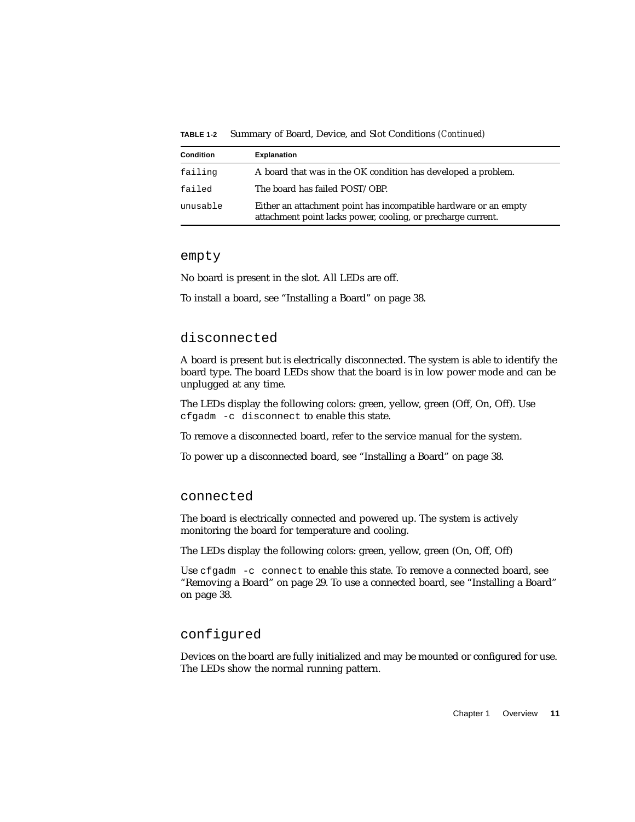| <b>Condition</b> | <b>Explanation</b>                                                                                                               |
|------------------|----------------------------------------------------------------------------------------------------------------------------------|
| failing          | A board that was in the OK condition has developed a problem.                                                                    |
| failed           | The board has failed POST/OBP.                                                                                                   |
| unusable         | Either an attachment point has incompatible hardware or an empty<br>attachment point lacks power, cooling, or precharge current. |

**TABLE 1-2** Summary of Board, Device, and Slot Conditions *(Continued)*

#### <span id="page-22-0"></span>empty

No board is present in the slot. All LEDs are off.

To install a board, see ["Installing a Board" on page 38](#page-49-2).

#### <span id="page-22-1"></span>disconnected

A board is present but is electrically disconnected. The system is able to identify the board type. The board LEDs show that the board is in low power mode and can be unplugged at any time.

The LEDs display the following colors: green, yellow, green (Off, On, Off). Use cfgadm -c disconnect to enable this state.

To remove a disconnected board, refer to the service manual for the system.

To power up a disconnected board, see ["Installing a Board" on page 38](#page-49-2).

#### <span id="page-22-2"></span>connected

The board is electrically connected and powered up. The system is actively monitoring the board for temperature and cooling.

The LEDs display the following colors: green, yellow, green (On, Off, Off)

Use cfgadm -c connect to enable this state. To remove a connected board, see ["Removing a Board" on page 29.](#page-40-2) To use a connected board, see ["Installing a Board"](#page-49-2) [on page 38](#page-49-2).

#### <span id="page-22-3"></span>configured

Devices on the board are fully initialized and may be mounted or configured for use. The LEDs show the normal running pattern.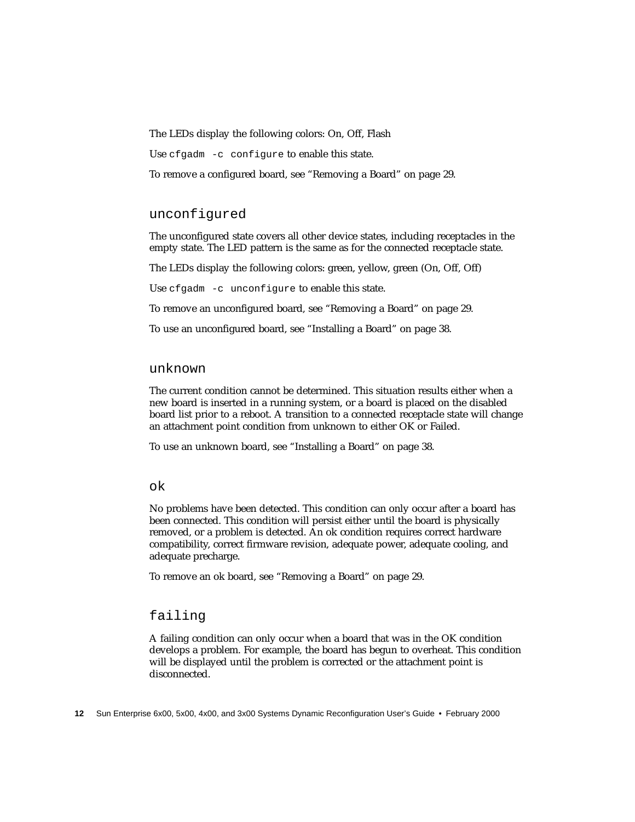The LEDs display the following colors: On, Off, Flash

Use cfgadm -c configure to enable this state.

To remove a configured board, see ["Removing a Board" on page 29.](#page-40-2)

#### <span id="page-23-0"></span>unconfigured

The unconfigured state covers all other device states, including receptacles in the empty state. The LED pattern is the same as for the connected receptacle state.

The LEDs display the following colors: green, yellow, green (On, Off, Off)

Use cfgadm -c unconfigure to enable this state.

To remove an unconfigured board, see ["Removing a Board" on page 29.](#page-40-2)

To use an unconfigured board, see ["Installing a Board" on page 38.](#page-49-2)

#### <span id="page-23-1"></span>unknown

The current condition cannot be determined. This situation results either when a new board is inserted in a running system, or a board is placed on the disabled board list prior to a reboot. A transition to a connected receptacle state will change an attachment point condition from unknown to either OK or Failed.

To use an unknown board, see ["Installing a Board" on page 38](#page-49-2).

#### <span id="page-23-2"></span>ok

No problems have been detected. This condition can only occur after a board has been connected. This condition will persist either until the board is physically removed, or a problem is detected. An ok condition requires correct hardware compatibility, correct firmware revision, adequate power, adequate cooling, and adequate precharge.

To remove an ok board, see ["Removing a Board" on page 29.](#page-40-2)

#### <span id="page-23-3"></span>failing

A failing condition can only occur when a board that was in the OK condition develops a problem. For example, the board has begun to overheat. This condition will be displayed until the problem is corrected or the attachment point is disconnected.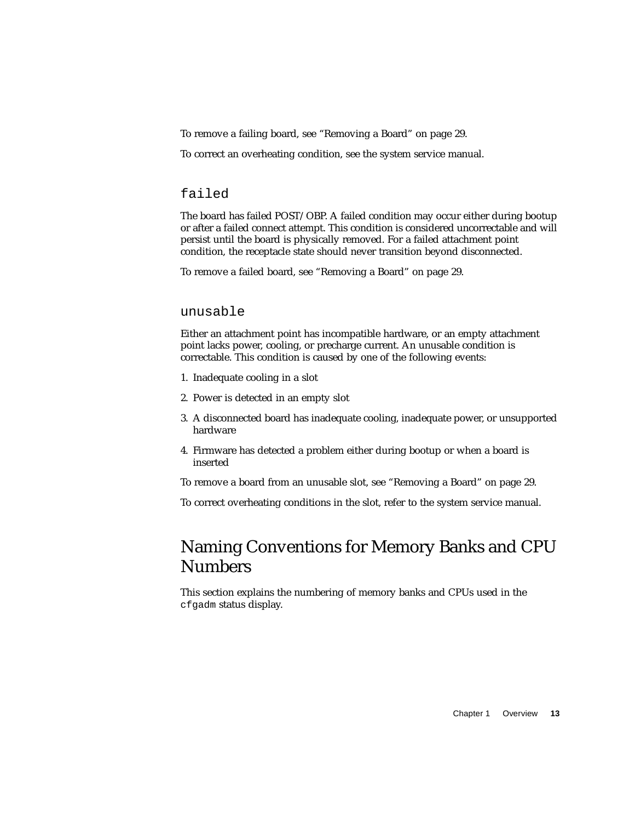To remove a failing board, see ["Removing a Board" on page 29](#page-40-2).

To correct an overheating condition, see the system service manual.

#### <span id="page-24-0"></span>failed

The board has failed POST/OBP. A failed condition may occur either during bootup or after a failed connect attempt. This condition is considered uncorrectable and will persist until the board is physically removed. For a failed attachment point condition, the receptacle state should never transition beyond disconnected.

To remove a failed board, see ["Removing a Board" on page 29.](#page-40-2)

#### <span id="page-24-1"></span>unusable

Either an attachment point has incompatible hardware, or an empty attachment point lacks power, cooling, or precharge current. An unusable condition is correctable. This condition is caused by one of the following events:

- 1. Inadequate cooling in a slot
- 2. Power is detected in an empty slot
- 3. A disconnected board has inadequate cooling, inadequate power, or unsupported hardware
- 4. Firmware has detected a problem either during bootup or when a board is inserted

To remove a board from an unusable slot, see ["Removing a Board" on page 29.](#page-40-2)

To correct overheating conditions in the slot, refer to the system service manual.

## <span id="page-24-2"></span>Naming Conventions for Memory Banks and CPU Numbers

This section explains the numbering of memory banks and CPUs used in the cfgadm status display.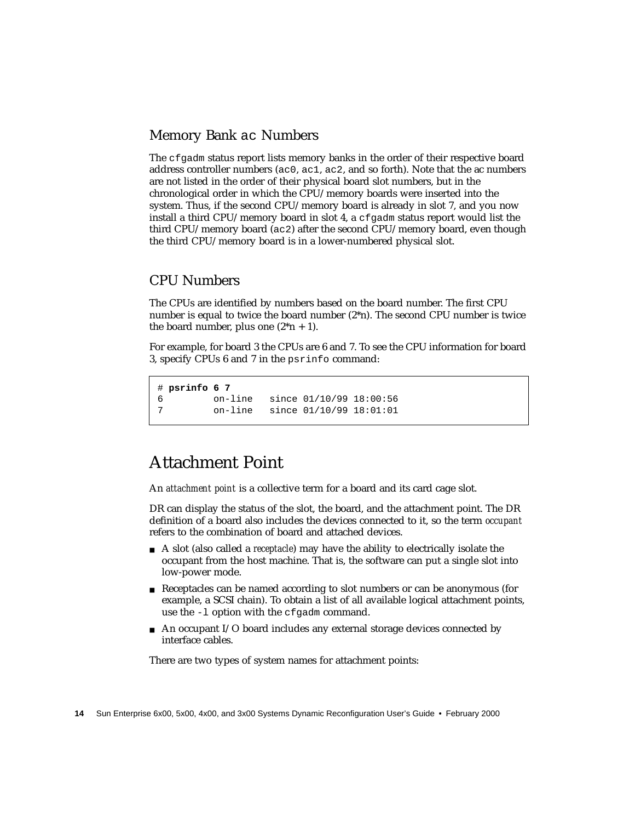### <span id="page-25-0"></span>Memory Bank ac Numbers

The cfgadm status report lists memory banks in the order of their respective board address controller numbers ( $ac0$ ,  $ac1$ ,  $ac2$ , and so forth). Note that the ac numbers are not listed in the order of their physical board slot numbers, but in the chronological order in which the CPU/memory boards were inserted into the system. Thus, if the second CPU/memory board is already in slot 7, and you now install a third CPU/memory board in slot 4, a  $cf$  qadm status report would list the third CPU/memory board (ac2) after the second CPU/memory board, even though the third CPU/memory board is in a lower-numbered physical slot.

### <span id="page-25-1"></span>CPU Numbers

The CPUs are identified by numbers based on the board number. The first CPU number is equal to twice the board number  $(2<sup>*</sup>n)$ . The second CPU number is twice the board number, plus one  $(2*n + 1)$ .

For example, for board 3 the CPUs are 6 and 7. To see the CPU information for board 3, specify CPUs 6 and 7 in the psrinfo command:

```
# psrinfo 6 7
6 on-line since 01/10/99 18:00:56
7 on-line since 01/10/99 18:01:01
```
## <span id="page-25-2"></span>Attachment Point

An *attachment point* is a collective term for a board and its card cage slot.

DR can display the status of the slot, the board, and the attachment point. The DR definition of a board also includes the devices connected to it, so the term *occupant* refers to the combination of board and attached devices.

- A slot (also called a *receptacle*) may have the ability to electrically isolate the occupant from the host machine. That is, the software can put a single slot into low-power mode.
- Receptacles can be named according to slot numbers or can be anonymous (for example, a SCSI chain). To obtain a list of all available logical attachment points, use the  $-1$  option with the  $cf$  gadm command.
- An occupant I/O board includes any external storage devices connected by interface cables.

There are two types of system names for attachment points: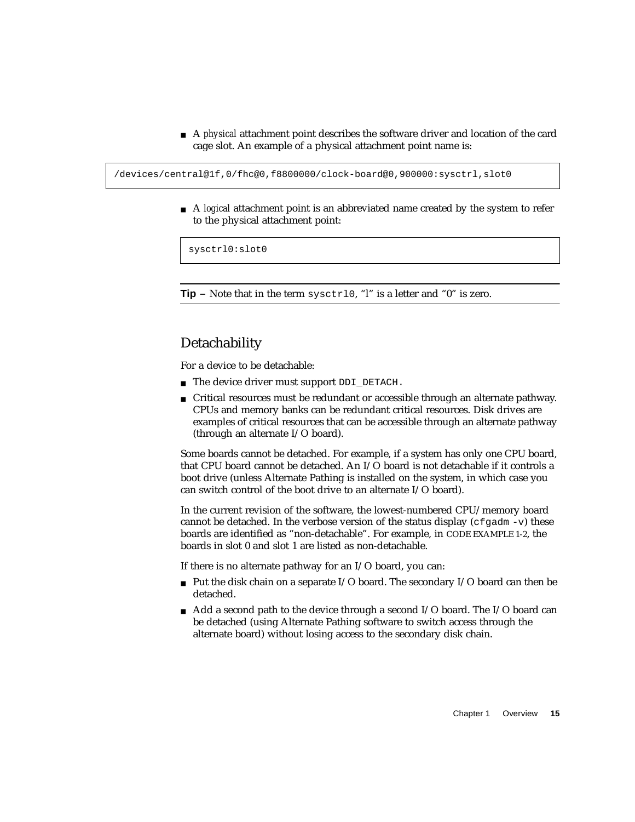■ A *physical* attachment point describes the software driver and location of the card cage slot. An example of a physical attachment point name is:

/devices/central@1f,0/fhc@0,f8800000/clock-board@0,900000:sysctrl,slot0

■ A *logical* attachment point is an abbreviated name created by the system to refer to the physical attachment point:

sysctrl0:slot0

**Tip –** Note that in the term sysctrl0, "l" is a letter and "0" is zero.

### <span id="page-26-0"></span>Detachability

For a device to be detachable:

- The device driver must support DDI\_DETACH.
- Critical resources must be redundant or accessible through an alternate pathway. CPUs and memory banks can be redundant critical resources. Disk drives are examples of critical resources that can be accessible through an alternate pathway (through an alternate I/O board).

Some boards cannot be detached. For example, if a system has only one CPU board, that CPU board cannot be detached. An I/O board is not detachable if it controls a boot drive (unless Alternate Pathing is installed on the system, in which case you can switch control of the boot drive to an alternate I/O board).

In the current revision of the software, the lowest-numbered CPU/memory board cannot be detached. In the verbose version of the status display ( $cf$  $q$  $adm -v$ ) these boards are identified as "non-detachable". For example, in [CODE EXAMPLE 1-2](#page-18-0), the boards in slot 0 and slot 1 are listed as non-detachable.

If there is no alternate pathway for an I/O board, you can:

- **•** Put the disk chain on a separate I/O board. The secondary I/O board can then be detached.
- Add a second path to the device through a second I/O board. The I/O board can be detached (using Alternate Pathing software to switch access through the alternate board) without losing access to the secondary disk chain.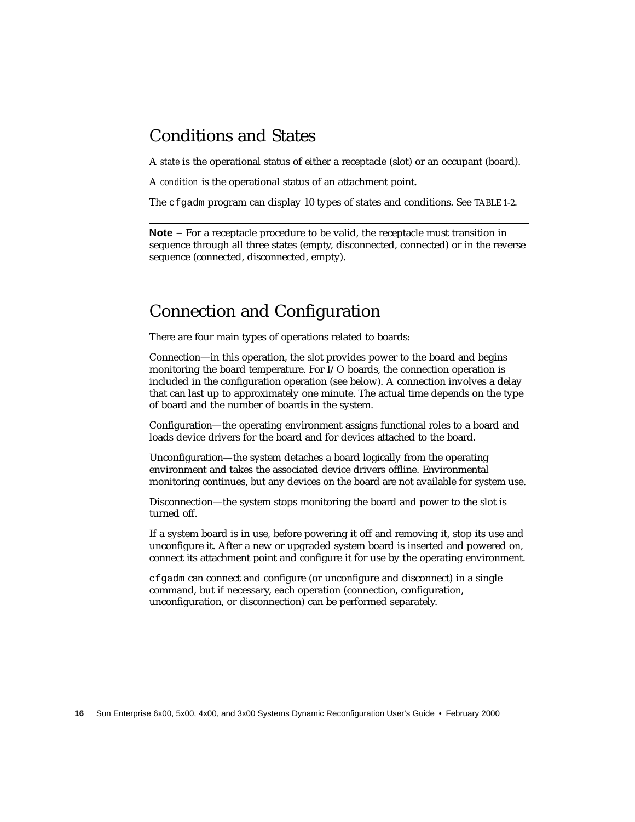## <span id="page-27-0"></span>Conditions and States

A *state* is the operational status of either a receptacle (slot) or an occupant (board).

A *condition* is the operational status of an attachment point.

The cfgadm program can display 10 types of states and conditions. See [TABLE 1-2](#page-21-1).

**Note –** For a receptacle procedure to be valid, the receptacle must transition in sequence through all three states (empty, disconnected, connected) or in the reverse sequence (connected, disconnected, empty).

## <span id="page-27-1"></span>Connection and Configuration

There are four main types of operations related to boards:

Connection—in this operation, the slot provides power to the board and begins monitoring the board temperature. For I/O boards, the connection operation is included in the configuration operation (see below). A connection involves a delay that can last up to approximately one minute. The actual time depends on the type of board and the number of boards in the system.

Configuration—the operating environment assigns functional roles to a board and loads device drivers for the board and for devices attached to the board.

Unconfiguration—the system detaches a board logically from the operating environment and takes the associated device drivers offline. Environmental monitoring continues, but any devices on the board are not available for system use.

Disconnection—the system stops monitoring the board and power to the slot is turned off.

If a system board is in use, before powering it off and removing it, stop its use and unconfigure it. After a new or upgraded system board is inserted and powered on, connect its attachment point and configure it for use by the operating environment.

cfgadm can connect and configure (or unconfigure and disconnect) in a single command, but if necessary, each operation (connection, configuration, unconfiguration, or disconnection) can be performed separately.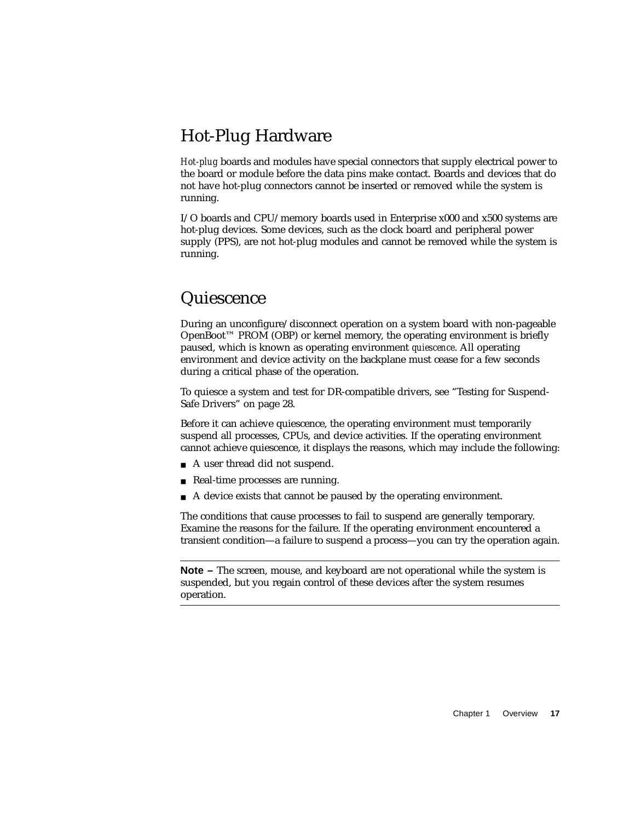## <span id="page-28-0"></span>Hot-Plug Hardware

*Hot-plug* boards and modules have special connectors that supply electrical power to the board or module before the data pins make contact. Boards and devices that do not have hot-plug connectors cannot be inserted or removed while the system is running.

I/O boards and CPU/memory boards used in Enterprise x000 and x500 systems are hot-plug devices. Some devices, such as the clock board and peripheral power supply (PPS), are not hot-plug modules and cannot be removed while the system is running.

### <span id="page-28-1"></span>Quiescence

During an unconfigure/disconnect operation on a system board with non-pageable OpenBoot™ PROM (OBP) or kernel memory, the operating environment is briefly paused, which is known as operating environment *quiescence*. All operating environment and device activity on the backplane must cease for a few seconds during a critical phase of the operation.

To quiesce a system and test for DR-compatible drivers, see ["Testing for Suspend-](#page-39-2)[Safe Drivers" on page 28.](#page-39-2)

Before it can achieve quiescence, the operating environment must temporarily suspend all processes, CPUs, and device activities. If the operating environment cannot achieve quiescence, it displays the reasons, which may include the following:

- A user thread did not suspend.
- Real-time processes are running.
- A device exists that cannot be paused by the operating environment.

The conditions that cause processes to fail to suspend are generally temporary. Examine the reasons for the failure. If the operating environment encountered a transient condition—a failure to suspend a process—you can try the operation again.

**Note –** The screen, mouse, and keyboard are not operational while the system is suspended, but you regain control of these devices after the system resumes operation.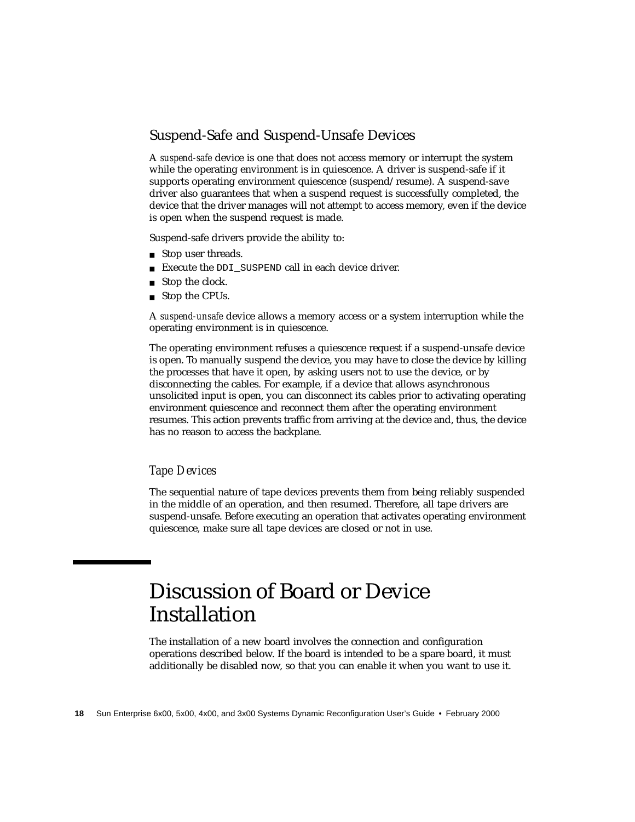### <span id="page-29-0"></span>Suspend-Safe and Suspend-Unsafe Devices

A *suspend-safe* device is one that does not access memory or interrupt the system while the operating environment is in quiescence. A driver is suspend-safe if it supports operating environment quiescence (suspend/resume). A suspend-save driver also guarantees that when a suspend request is successfully completed, the device that the driver manages will not attempt to access memory, even if the device is open when the suspend request is made.

Suspend-safe drivers provide the ability to:

- Stop user threads.
- Execute the DDI SUSPEND call in each device driver.
- Stop the clock.
- Stop the CPUs.

A *suspend-unsafe* device allows a memory access or a system interruption while the operating environment is in quiescence.

The operating environment refuses a quiescence request if a suspend-unsafe device is open. To manually suspend the device, you may have to close the device by killing the processes that have it open, by asking users not to use the device, or by disconnecting the cables. For example, if a device that allows asynchronous unsolicited input is open, you can disconnect its cables prior to activating operating environment quiescence and reconnect them after the operating environment resumes. This action prevents traffic from arriving at the device and, thus, the device has no reason to access the backplane.

#### *Tape Devices*

The sequential nature of tape devices prevents them from being reliably suspended in the middle of an operation, and then resumed. Therefore, all tape drivers are suspend-unsafe. Before executing an operation that activates operating environment quiescence, make sure all tape devices are closed or not in use.

# <span id="page-29-1"></span>Discussion of Board or Device Installation

The installation of a new board involves the connection and configuration operations described below. If the board is intended to be a spare board, it must additionally be disabled now, so that you can enable it when you want to use it.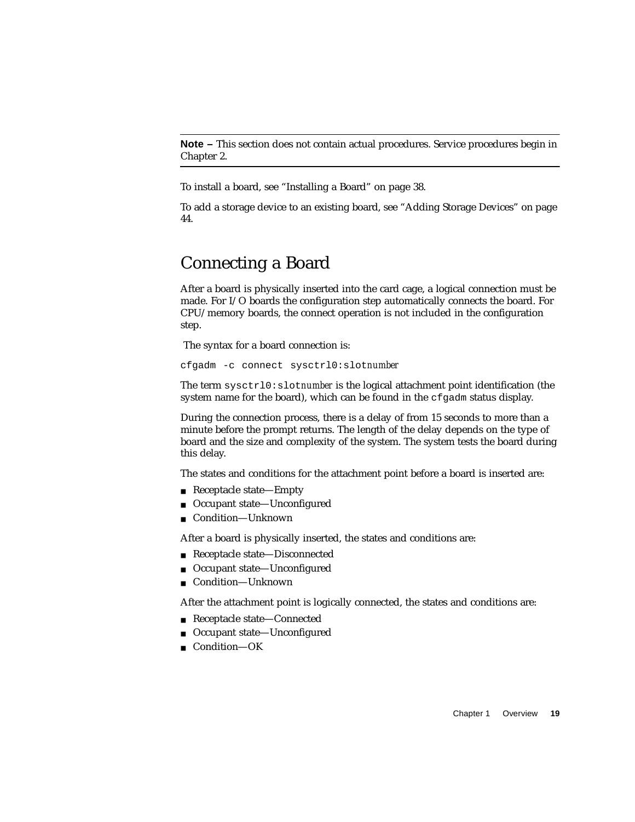**Note –** This section does not contain actual procedures. Service procedures begin in [Chapter 2.](#page-38-2)

To install a board, see ["Installing a Board" on page 38](#page-49-2).

To add a storage device to an existing board, see ["Adding Storage Devices" on page](#page-55-1) [44.](#page-55-1)

### <span id="page-30-0"></span>Connecting a Board

After a board is physically inserted into the card cage, a logical connection must be made. For I/O boards the configuration step automatically connects the board. For CPU/memory boards, the connect operation is not included in the configuration step.

The syntax for a board connection is:

cfgadm -c connect sysctrl0:slot*number*

The term sysctrl0:slot*number* is the logical attachment point identification (the system name for the board), which can be found in the cfgadm status display.

During the connection process, there is a delay of from 15 seconds to more than a minute before the prompt returns. The length of the delay depends on the type of board and the size and complexity of the system. The system tests the board during this delay.

The states and conditions for the attachment point before a board is inserted are:

- Receptacle state—Empty
- Occupant state—Unconfigured
- Condition—Unknown

After a board is physically inserted, the states and conditions are:

- Receptacle state—Disconnected
- Occupant state—Unconfigured
- Condition—Unknown

After the attachment point is logically connected, the states and conditions are:

- Receptacle state—Connected
- Occupant state—Unconfigured
- Condition—OK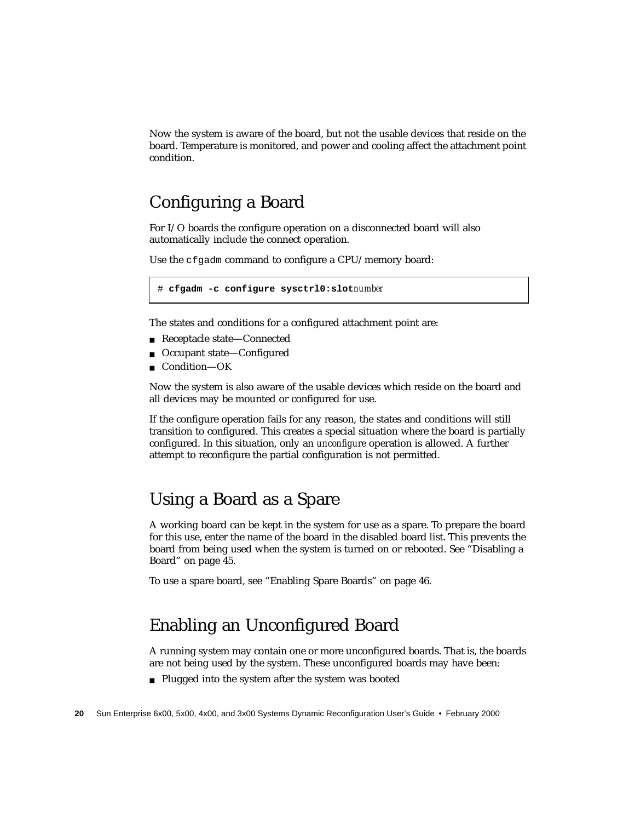Now the system is aware of the board, but not the usable devices that reside on the board. Temperature is monitored, and power and cooling affect the attachment point condition.

## <span id="page-31-0"></span>Configuring a Board

For I/O boards the configure operation on a disconnected board will also automatically include the connect operation.

Use the cfgadm command to configure a CPU/memory board:

```
# cfgadm -c configure sysctrl0:slotnumber
```
The states and conditions for a configured attachment point are:

- Receptacle state—Connected
- Occupant state—Configured
- Condition—OK

Now the system is also aware of the usable devices which reside on the board and all devices may be mounted or configured for use.

If the configure operation fails for any reason, the states and conditions will still transition to configured. This creates a special situation where the board is partially configured. In this situation, only an *unconfigure* operation is allowed. A further attempt to reconfigure the partial configuration is not permitted.

## <span id="page-31-1"></span>Using a Board as a Spare

A working board can be kept in the system for use as a spare. To prepare the board for this use, enter the name of the board in the disabled board list. This prevents the board from being used when the system is turned on or rebooted. See ["Disabling a](#page-56-2) [Board" on page 45.](#page-56-2)

To use a spare board, see ["Enabling Spare Boards" on page 46.](#page-57-2)

## <span id="page-31-2"></span>Enabling an Unconfigured Board

A running system may contain one or more unconfigured boards. That is, the boards are not being used by the system. These unconfigured boards may have been:

■ Plugged into the system after the system was booted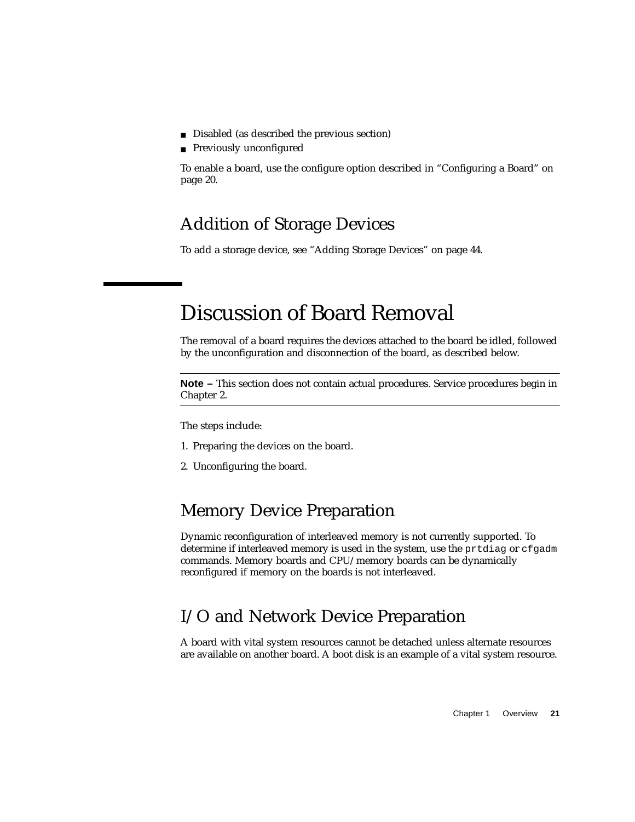- Disabled (as described the previous section)
- Previously unconfigured

To enable a board, use the configure option described in ["Configuring a Board" on](#page-31-0) [page 20](#page-31-0).

### <span id="page-32-0"></span>Addition of Storage Devices

To add a storage device, see ["Adding Storage Devices" on page 44](#page-55-1).

# <span id="page-32-1"></span>Discussion of Board Removal

The removal of a board requires the devices attached to the board be idled, followed by the unconfiguration and disconnection of the board, as described below.

**Note –** This section does not contain actual procedures. Service procedures begin in [Chapter 2.](#page-38-2)

The steps include:

- 1. Preparing the devices on the board.
- 2. Unconfiguring the board.

### <span id="page-32-2"></span>Memory Device Preparation

Dynamic reconfiguration of interleaved memory is not currently supported. To determine if interleaved memory is used in the system, use the production or cfgadm commands. Memory boards and CPU/memory boards can be dynamically reconfigured if memory on the boards is not interleaved.

### <span id="page-32-3"></span>I/O and Network Device Preparation

A board with vital system resources cannot be detached unless alternate resources are available on another board. A boot disk is an example of a vital system resource.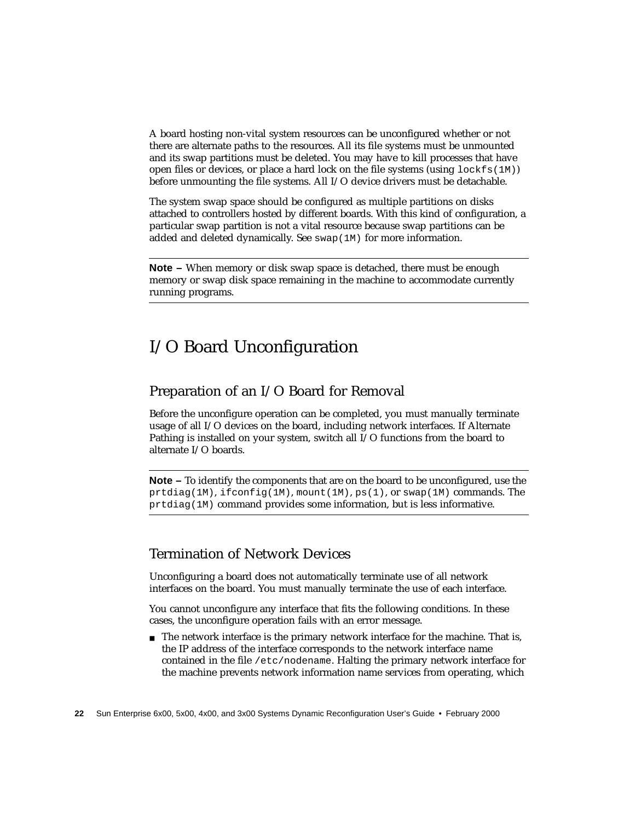A board hosting non-vital system resources can be unconfigured whether or not there are alternate paths to the resources. All its file systems must be unmounted and its swap partitions must be deleted. You may have to kill processes that have open files or devices, or place a hard lock on the file systems (using  $l$  ockfs(1M)) before unmounting the file systems. All I/O device drivers must be detachable.

The system swap space should be configured as multiple partitions on disks attached to controllers hosted by different boards. With this kind of configuration, a particular swap partition is not a vital resource because swap partitions can be added and deleted dynamically. See swap(1M) for more information.

**Note –** When memory or disk swap space is detached, there must be enough memory or swap disk space remaining in the machine to accommodate currently running programs.

### <span id="page-33-0"></span>I/O Board Unconfiguration

### <span id="page-33-1"></span>Preparation of an I/O Board for Removal

Before the unconfigure operation can be completed, you must manually terminate usage of all I/O devices on the board, including network interfaces. If Alternate Pathing is installed on your system, switch all I/O functions from the board to alternate I/O boards.

**Note –** To identify the components that are on the board to be unconfigured, use the  $\text{prtdiag}(1M)$ , if config(1M), mount(1M),  $\text{ps}(1)$ , or swap(1M) commands. The prtdiag(1M) command provides some information, but is less informative.

### <span id="page-33-2"></span>Termination of Network Devices

Unconfiguring a board does not automatically terminate use of all network interfaces on the board. You must manually terminate the use of each interface.

You cannot unconfigure any interface that fits the following conditions. In these cases, the unconfigure operation fails with an error message.

■ The network interface is the primary network interface for the machine. That is, the IP address of the interface corresponds to the network interface name contained in the file /etc/nodename. Halting the primary network interface for the machine prevents network information name services from operating, which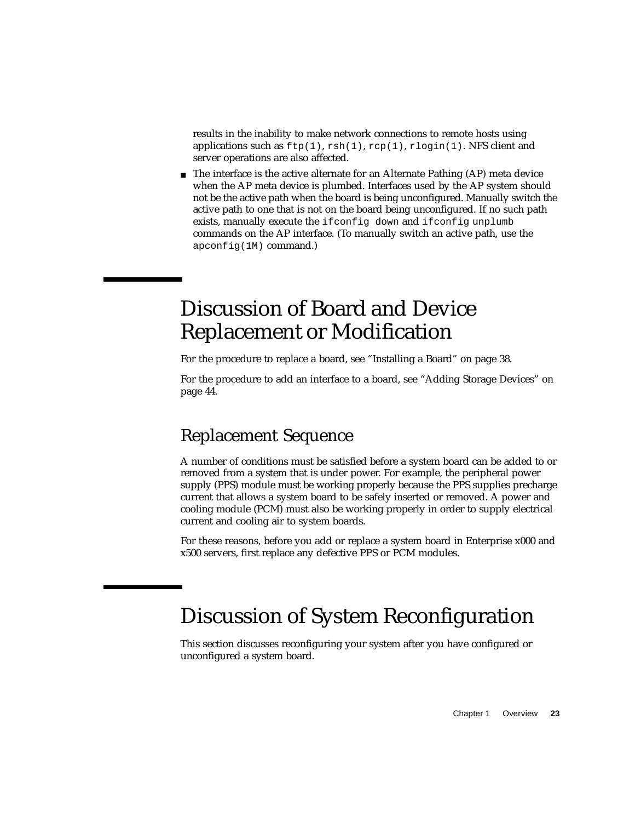results in the inability to make network connections to remote hosts using applications such as  $ftp(1), rsh(1), rcp(1), rlogin(1).$  NFS client and server operations are also affected.

■ The interface is the active alternate for an Alternate Pathing (AP) meta device when the AP meta device is plumbed. Interfaces used by the AP system should not be the active path when the board is being unconfigured. Manually switch the active path to one that is not on the board being unconfigured. If no such path exists, manually execute the ifconfig down and ifconfig unplumb commands on the AP interface. (To manually switch an active path, use the apconfig(1M) command.)

# <span id="page-34-0"></span>Discussion of Board and Device Replacement or Modification

For the procedure to replace a board, see ["Installing a Board" on page 38](#page-49-2).

For the procedure to add an interface to a board, see ["Adding Storage Devices" on](#page-55-1) [page 44](#page-55-1).

## <span id="page-34-1"></span>Replacement Sequence

A number of conditions must be satisfied before a system board can be added to or removed from a system that is under power. For example, the peripheral power supply (PPS) module must be working properly because the PPS supplies precharge current that allows a system board to be safely inserted or removed. A power and cooling module (PCM) must also be working properly in order to supply electrical current and cooling air to system boards.

For these reasons, before you add or replace a system board in Enterprise x000 and x500 servers, first replace any defective PPS or PCM modules.

# <span id="page-34-2"></span>Discussion of System Reconfiguration

This section discusses reconfiguring your system after you have configured or unconfigured a system board.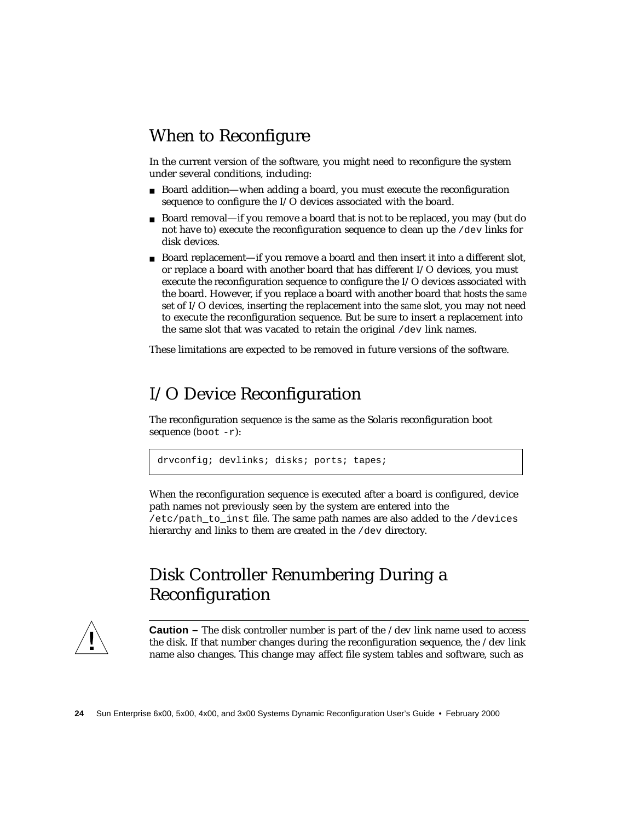## <span id="page-35-0"></span>When to Reconfigure

In the current version of the software, you might need to reconfigure the system under several conditions, including:

- Board addition—when adding a board, you must execute the reconfiguration sequence to configure the I/O devices associated with the board.
- Board removal—if you remove a board that is not to be replaced, you may (but do not have to) execute the reconfiguration sequence to clean up the /dev links for disk devices.
- Board replacement—if you remove a board and then insert it into a different slot, or replace a board with another board that has different I/O devices, you must execute the reconfiguration sequence to configure the I/O devices associated with the board. However, if you replace a board with another board that hosts the *same* set of I/O devices, inserting the replacement into the *same* slot, you may not need to execute the reconfiguration sequence. But be sure to insert a replacement into the same slot that was vacated to retain the original  $/$  dev link names.

These limitations are expected to be removed in future versions of the software.

## <span id="page-35-1"></span>I/O Device Reconfiguration

The reconfiguration sequence is the same as the Solaris reconfiguration boot sequence  $(boot -r)$ :

```
drvconfig; devlinks; disks; ports; tapes;
```
When the reconfiguration sequence is executed after a board is configured, device path names not previously seen by the system are entered into the /etc/path\_to\_inst file. The same path names are also added to the /devices hierarchy and links to them are created in the /dev directory.

## Disk Controller Renumbering During a Reconfiguration

<span id="page-35-2"></span>

**Caution –** The disk controller number is part of the /dev link name used to access the disk. If that number changes during the reconfiguration sequence, the /dev link name also changes. This change may affect file system tables and software, such as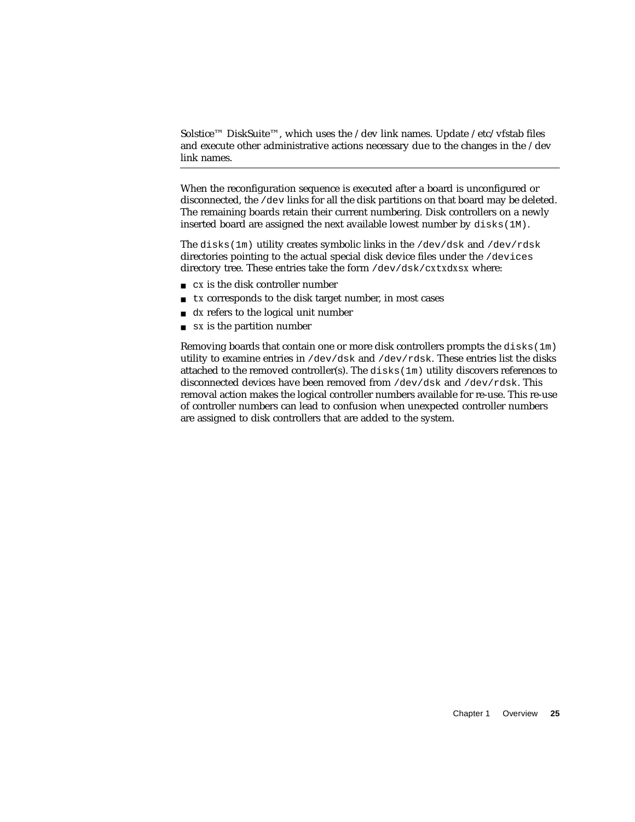Solstice™ DiskSuite™, which uses the /dev link names. Update /etc/vfstab files and execute other administrative actions necessary due to the changes in the /dev link names.

When the reconfiguration sequence is executed after a board is unconfigured or disconnected, the /dev links for all the disk partitions on that board may be deleted. The remaining boards retain their current numbering. Disk controllers on a newly inserted board are assigned the next available lowest number by  $disks(1M)$ .

The disks(1m) utility creates symbolic links in the /dev/dsk and /dev/rdsk directories pointing to the actual special disk device files under the /devices directory tree. These entries take the form /dev/dsk/c*x*t*x*d*x*s*x* where:

- c*x* is the disk controller number
- t*x* corresponds to the disk target number, in most cases
- d*x* refers to the logical unit number
- s*x* is the partition number

Removing boards that contain one or more disk controllers prompts the disks  $(1m)$ utility to examine entries in  $/$ dev $/$ dsk and  $/$ dev $/$ rdsk. These entries list the disks attached to the removed controller(s). The  $\text{disks}(1\text{m})$  utility discovers references to disconnected devices have been removed from /dev/dsk and /dev/rdsk. This removal action makes the logical controller numbers available for re-use. This re-use of controller numbers can lead to confusion when unexpected controller numbers are assigned to disk controllers that are added to the system.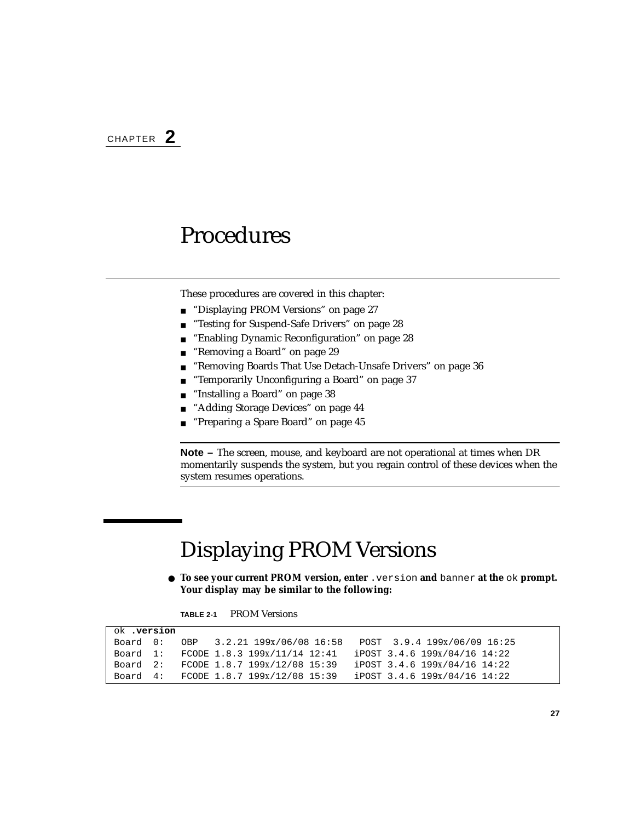## Procedures

These procedures are covered in this chapter:

- ["Displaying PROM Versions" on page 27](#page-38-0)
- ["Testing for Suspend-Safe Drivers" on page 28](#page-39-0)
- ["Enabling Dynamic Reconfiguration" on page 28](#page-39-1)
- ["Removing a Board" on page 29](#page-40-0)
- ["Removing Boards That Use Detach-Unsafe Drivers" on page 36](#page-47-0)
- ["Temporarily Unconfiguring a Board" on page 37](#page-48-0)
- ["Installing a Board" on page 38](#page-49-0)
- ["Adding Storage Devices" on page 44](#page-55-0)
- ["Preparing a Spare Board" on page 45](#page-56-0)

**Note –** The screen, mouse, and keyboard are not operational at times when DR momentarily suspends the system, but you regain control of these devices when the system resumes operations.

# Displaying PROM Versions

<span id="page-38-0"></span>● **To see your current PROM version, enter** .version **and** banner **at the** ok **prompt. Your display may be similar to the following:**

| <b>TABLE 2-1</b> | <b>PROM Versions</b> |
|------------------|----------------------|
|                  |                      |

| ok .version |     |                                    |                                    |
|-------------|-----|------------------------------------|------------------------------------|
| Board 0:    | OBP | $3.2.21$ $199x/06/08$ $16:58$      | POST 3.9.4 199X/06/09 16:25        |
| Board 1:    |     | FCODE $1.8.3$ $199x/11/14$ $12:41$ | $i$ POST 3.4.6 199 $x/04/16$ 14:22 |
| Board 2:    |     | FCODE $1.8.7$ $199x/12/08$ $15:39$ | $i$ POST 3.4.6 199 $x/04/16$ 14:22 |
| Board 4:    |     | FCODE $1.8.7$ 199 $x/12/08$ 15:39  | $i$ POST 3.4.6 199 $x/04/16$ 14:22 |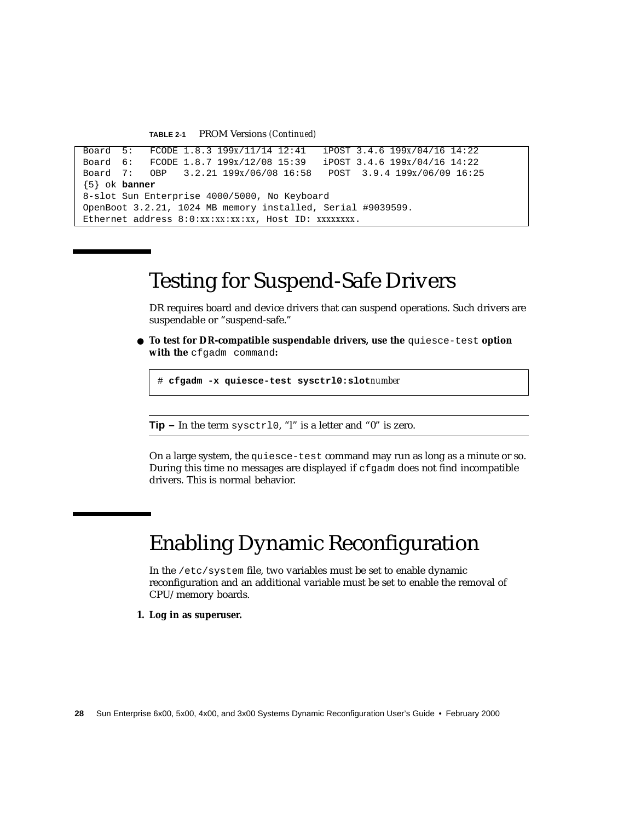```
TABLE 2-1 PROM Versions (Continued)
```

```
Board 5: FCODE 1.8.3 199x/11/14 12:41 iPOST 3.4.6 199x/04/16 14:22
Board 6: FCODE 1.8.7 199x/12/08 15:39 iPOST 3.4.6 199x/04/16 14:22
Board 7: OBP 3.2.21 199x/06/08 16:58 POST 3.9.4 199x/06/09 16:25
{5} ok banner
8-slot Sun Enterprise 4000/5000, No Keyboard
OpenBoot 3.2.21, 1024 MB memory installed, Serial #9039599.
Ethernet address 8:0:xx:xx:xx:xx, Host ID: xxxxxxxx.
```
# <span id="page-39-0"></span>Testing for Suspend-Safe Drivers

DR requires board and device drivers that can suspend operations. Such drivers are suspendable or "suspend-safe."

● **To test for DR-compatible suspendable drivers, use the** quiesce-test **option with the** cfgadm command**:**

# **cfgadm -x quiesce-test sysctrl0:slot***number*

**Tip –** In the term sysctrl0, "l" is a letter and "0" is zero.

On a large system, the quiesce-test command may run as long as a minute or so. During this time no messages are displayed if  $cf$  and does not find incompatible drivers. This is normal behavior.

# <span id="page-39-1"></span>Enabling Dynamic Reconfiguration

In the /etc/system file, two variables must be set to enable dynamic reconfiguration and an additional variable must be set to enable the removal of CPU/memory boards.

**1. Log in as superuser.**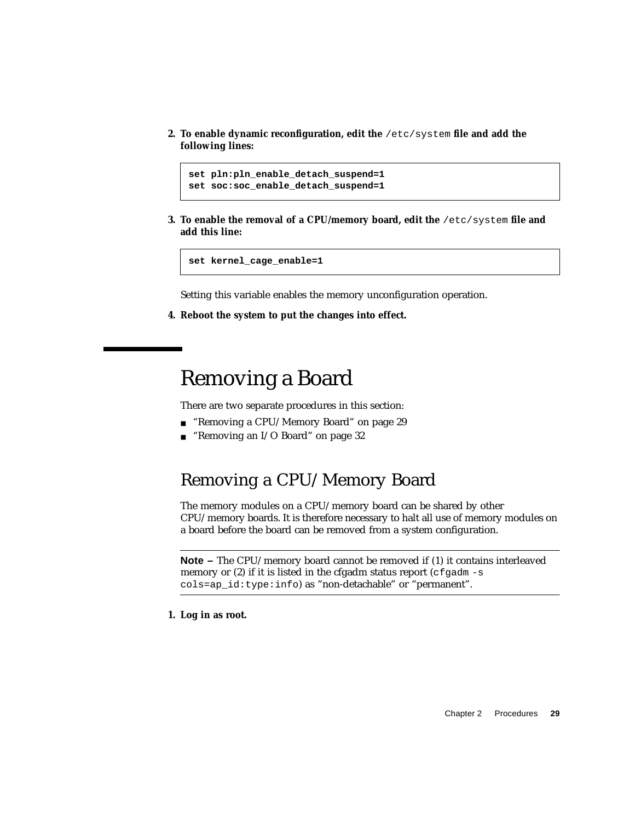**2. To enable dynamic reconfiguration, edit the** /etc/system **file and add the following lines:**

```
set pln:pln_enable_detach_suspend=1
set soc:soc_enable_detach_suspend=1
```
**3. To enable the removal of a CPU/memory board, edit the** /etc/system **file and add this line:**

```
set kernel_cage_enable=1
```
Setting this variable enables the memory unconfiguration operation.

**4. Reboot the system to put the changes into effect.**

## <span id="page-40-0"></span>Removing a Board

There are two separate procedures in this section:

- ["Removing a CPU/Memory Board" on page 29](#page-40-1)
- ["Removing an I/O Board" on page 32](#page-43-0)

### <span id="page-40-1"></span>Removing a CPU/Memory Board

The memory modules on a CPU/memory board can be shared by other CPU/memory boards. It is therefore necessary to halt all use of memory modules on a board before the board can be removed from a system configuration.

**Note –** The CPU/memory board cannot be removed if (1) it contains interleaved memory or (2) if it is listed in the cfgadm status report ( $cf$ qadm  $-s$ cols=ap\_id:type:info) as "non-detachable" or "permanent".

<span id="page-40-2"></span>**1. Log in as root.**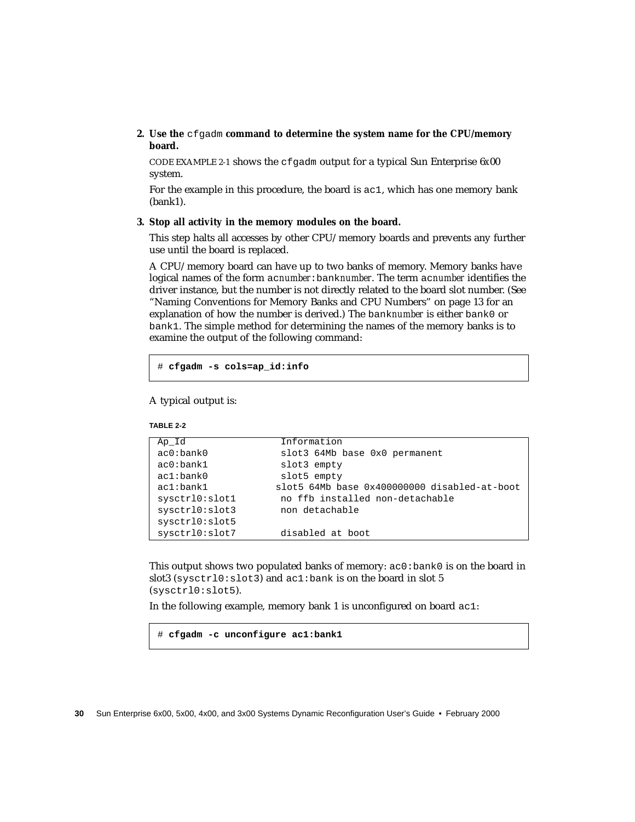#### **2. Use the** cfgadm **command to determine the system name for the CPU/memory board.**

[CODE EXAMPLE 2-1](#page-51-0) shows the cfgadm output for a typical Sun Enterprise 6*x*00 system.

For the example in this procedure, the board is ac1, which has one memory bank (bank1).

#### **3. Stop all activity in the memory modules on the board.**

This step halts all accesses by other CPU/memory boards and prevents any further use until the board is replaced.

A CPU/memory board can have up to two banks of memory. Memory banks have logical names of the form ac*number*:bank*number*. The term ac*number* identifies the driver instance, but the number is not directly related to the board slot number. (See ["Naming Conventions for Memory Banks and CPU Numbers" on page 13](#page-24-0) for an explanation of how the number is derived.) The bank*number* is either bank0 or bank1. The simple method for determining the names of the memory banks is to examine the output of the following command:

```
# cfgadm -s cols=ap_id:info
```
A typical output is:

#### **TABLE 2-2**

| Ap Id          | Information                                  |
|----------------|----------------------------------------------|
| ac0:bank0      | slot3 64Mb base 0x0 permanent                |
| ac0:bank1      | slot3 empty                                  |
| ac1:bank0      | slot5 empty                                  |
| ac1:bank1      | slot5 64Mb base 0x400000000 disabled-at-boot |
| sysctrl0:slot1 | no ffb installed non-detachable              |
| systr10:s10t3  | non detachable                               |
| sysctrl0:slot5 |                                              |
| sysctrl0:slot7 | disabled at boot                             |

This output shows two populated banks of memory: ac0:bank0 is on the board in slot3 (sysctrl $0:$ slot3) and ac1:bank is on the board in slot 5 (sysctrl0:slot5).

In the following example, memory bank 1 is unconfigured on board ac1:

```
# cfgadm -c unconfigure ac1:bank1
```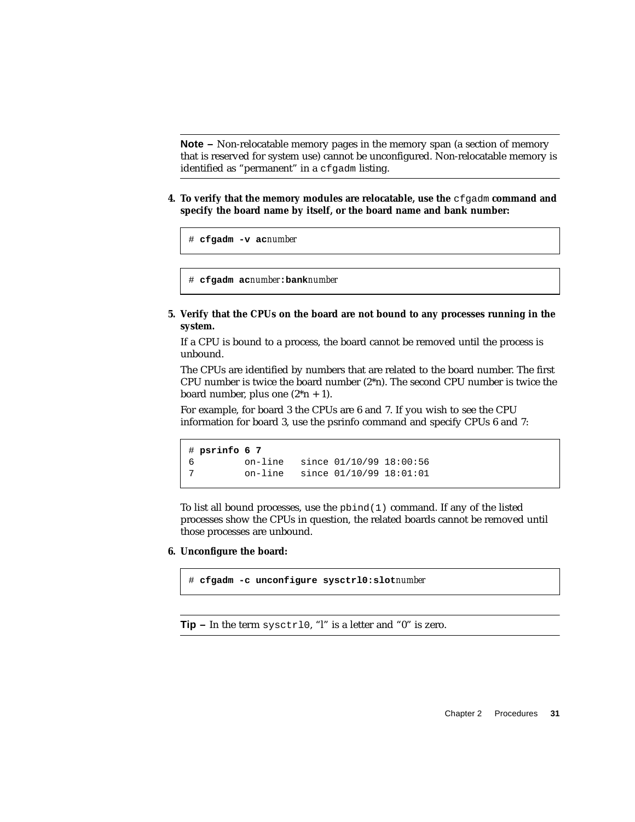**Note –** Non-relocatable memory pages in the memory span (a section of memory that is reserved for system use) cannot be unconfigured. Non-relocatable memory is identified as "permanent" in a cfgadm listing.

**4. To verify that the memory modules are relocatable, use the** cfgadm **command and specify the board name by itself, or the board name and bank number:**

```
# cfgadm -v acnumber
```
# **cfgadm ac***number***:bank***number*

**5. Verify that the CPUs on the board are not bound to any processes running in the system.**

If a CPU is bound to a process, the board cannot be removed until the process is unbound.

The CPUs are identified by numbers that are related to the board number. The first CPU number is twice the board number  $(2<sup>*</sup>n)$ . The second CPU number is twice the board number, plus one  $(2*n + 1)$ .

For example, for board 3 the CPUs are 6 and 7. If you wish to see the CPU information for board 3, use the psrinfo command and specify CPUs 6 and 7:

```
# psrinfo 6 7
6 on-line since 01/10/99 18:00:56
7 on-line since 01/10/99 18:01:01
```
To list all bound processes, use the  $pbind(1)$  command. If any of the listed processes show the CPUs in question, the related boards cannot be removed until those processes are unbound.

#### **6. Unconfigure the board:**

# **cfgadm -c unconfigure sysctrl0:slot***number*

**Tip –** In the term sysctrl0, "l" is a letter and "0" is zero.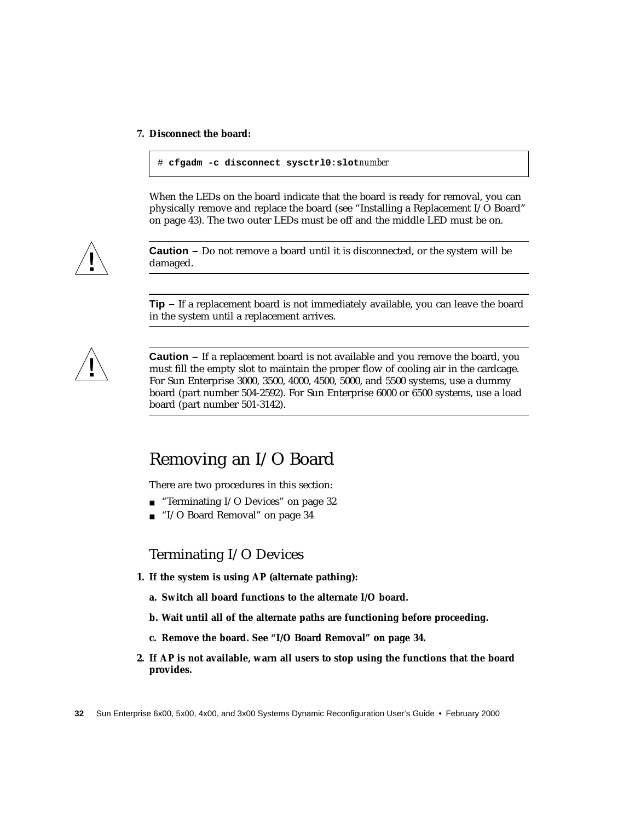#### **7. Disconnect the board:**

```
# cfgadm -c disconnect sysctrl0:slotnumber
```
When the LEDs on the board indicate that the board is ready for removal, you can physically remove and replace the board (see ["Installing a Replacement I/O Board"](#page-54-0) [on page 43](#page-54-0)). The two outer LEDs must be off and the middle LED must be on.



**Caution –** Do not remove a board until it is disconnected, or the system will be damaged.

**Tip –** If a replacement board is not immediately available, you can leave the board in the system until a replacement arrives.



**Caution –** If a replacement board is not available and you remove the board, you must fill the empty slot to maintain the proper flow of cooling air in the cardcage. For Sun Enterprise 3000, 3500, 4000, 4500, 5000, and 5500 systems, use a dummy board (part number 504-2592). For Sun Enterprise 6000 or 6500 systems, use a load board (part number 501-3142).

### <span id="page-43-0"></span>Removing an I/O Board

There are two procedures in this section:

- ["Terminating I/O Devices" on page 32](#page-43-1)
- ["I/O Board Removal" on page 34](#page-45-0)

### Terminating I/O Devices

- <span id="page-43-1"></span>**1. If the system is using AP (alternate pathing):**
	- **a. Switch all board functions to the alternate I/O board.**
	- **b. Wait until all of the alternate paths are functioning before proceeding.**
	- **c. Remove the board. See ["I/O Board Removal" on page 34](#page-45-0).**
- **2. If AP is not available, warn all users to stop using the functions that the board provides.**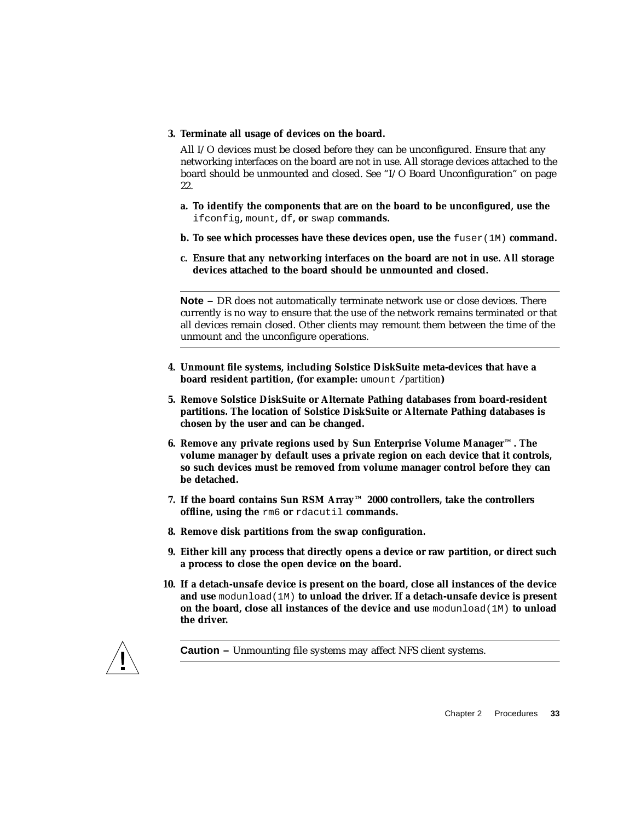**3. Terminate all usage of devices on the board.**

All I/O devices must be closed before they can be unconfigured. Ensure that any networking interfaces on the board are not in use. All storage devices attached to the board should be unmounted and closed. See ["I/O Board Unconfiguration" on page](#page-33-0) [22.](#page-33-0)

- **a. To identify the components that are on the board to be unconfigured, use the** ifconfig**,** mount**,** df**, or** swap **commands.**
- **b. To see which processes have these devices open, use the fuser (1M) command.**
- **c. Ensure that any networking interfaces on the board are not in use. All storage devices attached to the board should be unmounted and closed.**

**Note –** DR does not automatically terminate network use or close devices. There currently is no way to ensure that the use of the network remains terminated or that all devices remain closed. Other clients may remount them between the time of the unmount and the unconfigure operations.

- **4. Unmount file systems, including Solstice DiskSuite meta-devices that have a board resident partition, (for example:** umount /*partition***)**
- **5. Remove Solstice DiskSuite or Alternate Pathing databases from board-resident partitions. The location of Solstice DiskSuite or Alternate Pathing databases is chosen by the user and can be changed.**
- **6. Remove any private regions used by Sun Enterprise Volume Manager™. The volume manager by default uses a private region on each device that it controls, so such devices must be removed from volume manager control before they can be detached.**
- **7. If the board contains Sun RSM Array™ 2000 controllers, take the controllers offline, using the** rm6 **or** rdacutil **commands.**
- **8. Remove disk partitions from the swap configuration.**
- **9. Either kill any process that directly opens a device or raw partition, or direct such a process to close the open device on the board.**
- **10. If a detach-unsafe device is present on the board, close all instances of the device and use** modunload(1M) **to unload the driver. If a detach-unsafe device is present on the board, close all instances of the device and use** modunload(1M) **to unload the driver.**



**Caution –** Unmounting file systems may affect NFS client systems.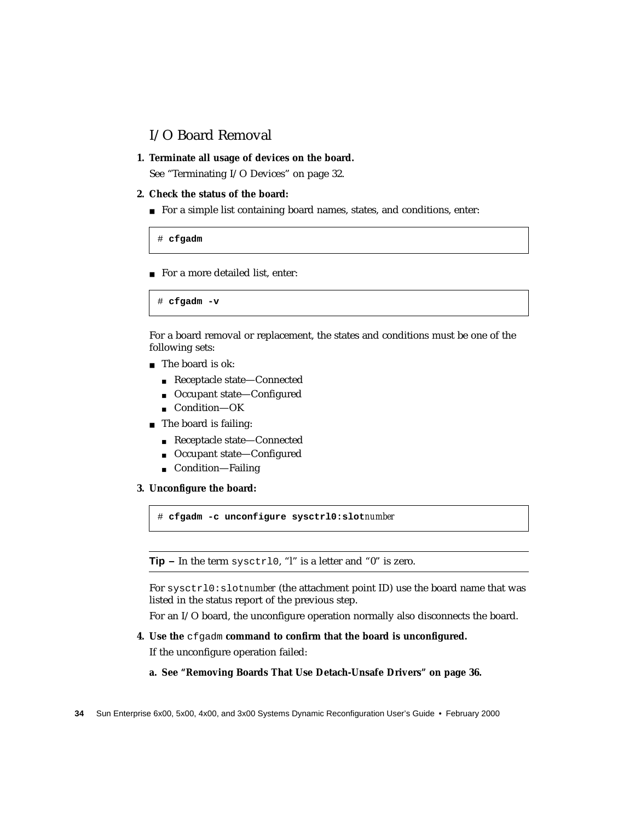### I/O Board Removal

#### <span id="page-45-0"></span>**1. Terminate all usage of devices on the board.**

See ["Terminating I/O Devices" on page 32.](#page-43-1)

#### **2. Check the status of the board:**

■ For a simple list containing board names, states, and conditions, enter:

# **cfgadm**

■ For a more detailed list, enter:

# **cfgadm -v**

For a board removal or replacement, the states and conditions must be one of the following sets:

- The board is ok:
	- Receptacle state—Connected
	- Occupant state—Configured
	- Condition—OK
- The board is failing:
	- Receptacle state—Connected
	- Occupant state—Configured
	- Condition—Failing

**3. Unconfigure the board:**

# **cfgadm -c unconfigure sysctrl0:slot***number*

**Tip –** In the term sysctrl0, "l" is a letter and "0" is zero.

For sysctrl0:slot*number* (the attachment point ID) use the board name that was listed in the status report of the previous step.

For an I/O board, the unconfigure operation normally also disconnects the board.

**4. Use the** cfgadm **command to confirm that the board is unconfigured.**

If the unconfigure operation failed:

**a. See ["Removing Boards That Use Detach-Unsafe Drivers" on page 36](#page-47-0).**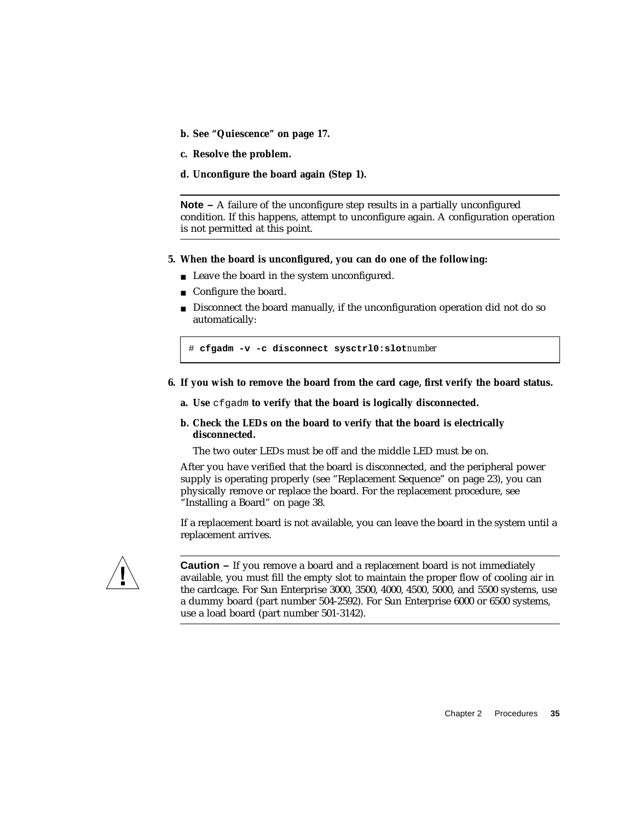- **b. See ["Quiescence" on page 17.](#page-28-0)**
- **c. Resolve the problem.**
- **d. Unconfigure the board again ([Step 1\)](#page-40-2).**

**Note –** A failure of the unconfigure step results in a partially unconfigured condition. If this happens, attempt to unconfigure again. A configuration operation is not permitted at this point.

- **5. When the board is unconfigured, you can do one of the following:**
	- Leave the board in the system unconfigured.
	- Configure the board.
	- Disconnect the board manually, if the unconfiguration operation did not do so automatically:

# **cfgadm -v -c disconnect sysctrl0:slot***number*

- **6. If you wish to remove the board from the card cage, first verify the board status.**
	- **a. Use** cfgadm **to verify that the board is logically disconnected.**
	- **b. Check the LEDs on the board to verify that the board is electrically disconnected.**

The two outer LEDs must be off and the middle LED must be on.

After you have verified that the board is disconnected, and the peripheral power supply is operating properly (see ["Replacement Sequence" on page 23\)](#page-34-0), you can physically remove or replace the board. For the replacement procedure, see ["Installing a Board" on page 38.](#page-49-0)

If a replacement board is not available, you can leave the board in the system until a replacement arrives.



**Caution –** If you remove a board and a replacement board is not immediately available, you must fill the empty slot to maintain the proper flow of cooling air in the cardcage. For Sun Enterprise 3000, 3500, 4000, 4500, 5000, and 5500 systems, use a dummy board (part number 504-2592). For Sun Enterprise 6000 or 6500 systems, use a load board (part number 501-3142).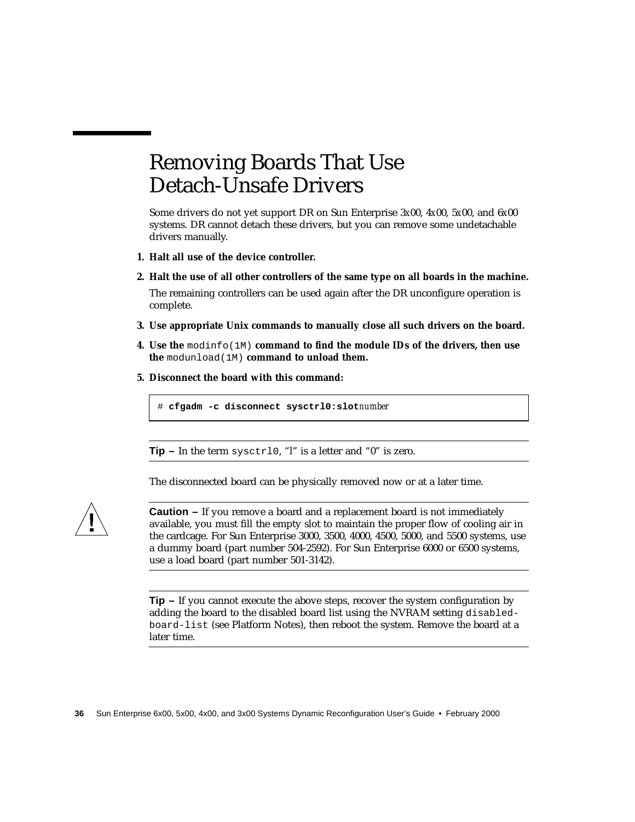# <span id="page-47-0"></span>Removing Boards That Use Detach-Unsafe Drivers

Some drivers do not yet support DR on Sun Enterprise 3*x*00, 4*x*00, 5*x*00, and 6*x*00 systems. DR cannot detach these drivers, but you can remove some undetachable drivers manually.

- **1. Halt all use of the device controller.**
- **2. Halt the use of all other controllers of the same type on all boards in the machine.** The remaining controllers can be used again after the DR unconfigure operation is complete.
- **3. Use appropriate Unix commands to manually close all such drivers on the board.**
- **4. Use the** modinfo(1M) **command to find the module IDs of the drivers, then use the** modunload(1M) **command to unload them.**
- **5. Disconnect the board with this command:**

# **cfgadm -c disconnect sysctrl0:slot***number*

**Tip –** In the term sysctrl0, "l" is a letter and "0" is zero.

The disconnected board can be physically removed now or at a later time.



**Caution –** If you remove a board and a replacement board is not immediately available, you must fill the empty slot to maintain the proper flow of cooling air in the cardcage. For Sun Enterprise 3000, 3500, 4000, 4500, 5000, and 5500 systems, use a dummy board (part number 504-2592). For Sun Enterprise 6000 or 6500 systems, use a load board (part number 501-3142).

**Tip –** If you cannot execute the above steps, recover the system configuration by adding the board to the disabled board list using the NVRAM setting disabledboard-list (see Platform Notes), then reboot the system. Remove the board at a later time.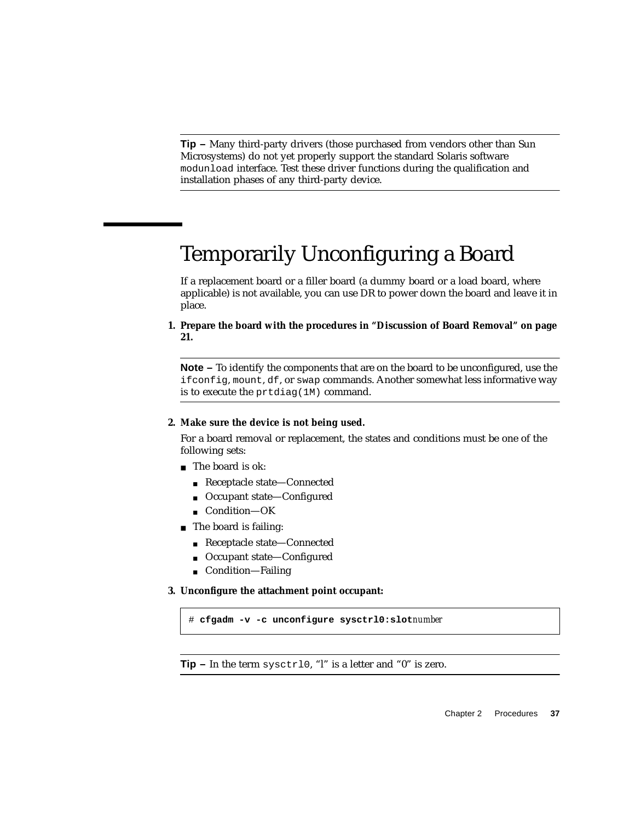**Tip –** Many third-party drivers (those purchased from vendors other than Sun Microsystems) do not yet properly support the standard Solaris software modunload interface. Test these driver functions during the qualification and installation phases of any third-party device.

# <span id="page-48-0"></span>Temporarily Unconfiguring a Board

If a replacement board or a filler board (a dummy board or a load board, where applicable) is not available, you can use DR to power down the board and leave it in place.

**1. Prepare the board with the procedures in ["Discussion of Board Removal" on page](#page-32-0) [21.](#page-32-0)**

**Note –** To identify the components that are on the board to be unconfigured, use the ifconfig, mount, df, or swap commands. Another somewhat less informative way is to execute the prtdiag(1M) command.

#### **2. Make sure the device is not being used.**

For a board removal or replacement, the states and conditions must be one of the following sets:

- The board is ok:
	- Receptacle state—Connected
	- Occupant state—Configured
	- Condition—OK
- The board is failing:
	- Receptacle state—Connected
	- Occupant state—Configured
	- Condition—Failing
- **3. Unconfigure the attachment point occupant:**

# **cfgadm -v -c unconfigure sysctrl0:slot***number*

**Tip –** In the term sysctrl0, "l" is a letter and "0" is zero.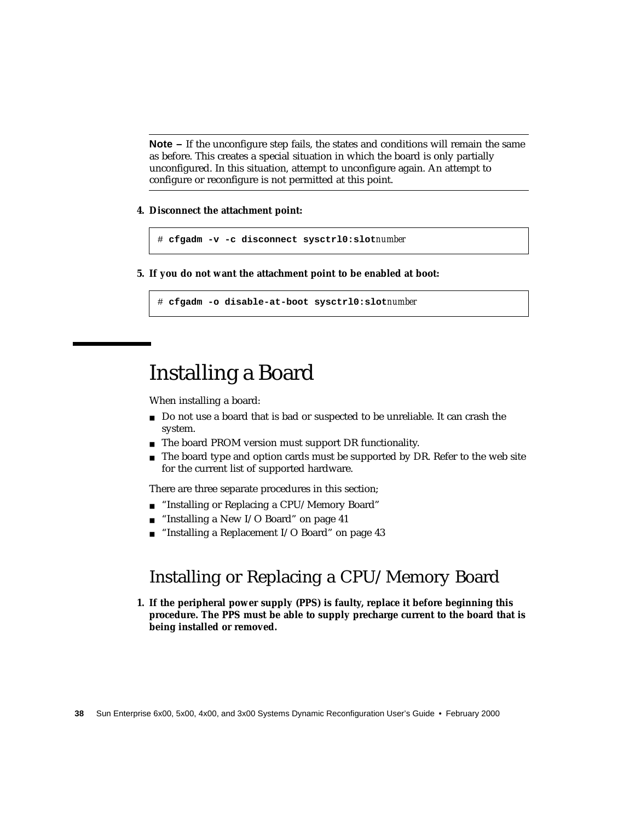**Note –** If the unconfigure step fails, the states and conditions will remain the same as before. This creates a special situation in which the board is only partially unconfigured. In this situation, attempt to unconfigure again. An attempt to configure or reconfigure is not permitted at this point.

**4. Disconnect the attachment point:**

```
# cfgadm -v -c disconnect sysctrl0:slotnumber
```
**5. If you do not want the attachment point to be enabled at boot:**

```
# cfgadm -o disable-at-boot sysctrl0:slotnumber
```
## <span id="page-49-0"></span>Installing a Board

When installing a board:

- Do not use a board that is bad or suspected to be unreliable. It can crash the system.
- The board PROM version must support DR functionality.
- The board type and option cards must be supported by DR. Refer to the web site for the current list of supported hardware.

There are three separate procedures in this section;

- ["Installing or Replacing a CPU/Memory Board"](#page-49-1)
- ["Installing a New I/O Board" on page 41](#page-52-0)
- "Installing a Replacement I/O Board" on page  $43$

## Installing or Replacing a CPU/Memory Board

<span id="page-49-1"></span>**1. If the peripheral power supply (PPS) is faulty, replace it before beginning this procedure. The PPS must be able to supply precharge current to the board that is being installed or removed.**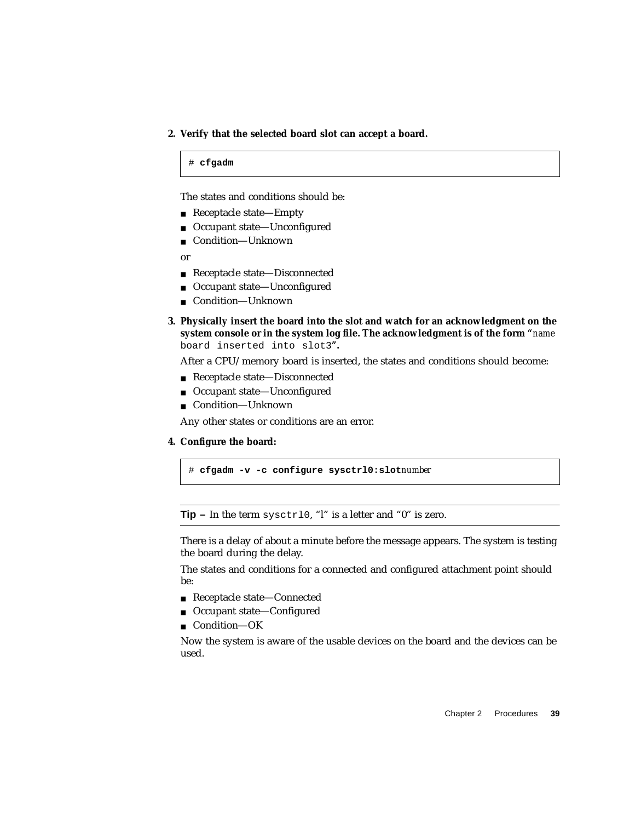**2. Verify that the selected board slot can accept a board.**

# **cfgadm**

The states and conditions should be:

- Receptacle state—Empty
- Occupant state—Unconfigured
- Condition—Unknown

or

- Receptacle state—Disconnected
- Occupant state—Unconfigured
- Condition—Unknown
- **3. Physically insert the board into the slot and watch for an acknowledgment on the system console or in the system log file. The acknowledgment is of the form "***name* board inserted into slot3**".**

After a CPU/memory board is inserted, the states and conditions should become:

- Receptacle state—Disconnected
- Occupant state—Unconfigured
- Condition—Unknown

Any other states or conditions are an error.

**4. Configure the board:**

```
# cfgadm -v -c configure sysctrl0:slotnumber
```
**Tip –** In the term sysctrl0, "l" is a letter and "0" is zero.

There is a delay of about a minute before the message appears. The system is testing the board during the delay.

The states and conditions for a connected and configured attachment point should be:

- Receptacle state—Connected
- Occupant state—Configured
- Condition—OK

Now the system is aware of the usable devices on the board and the devices can be used.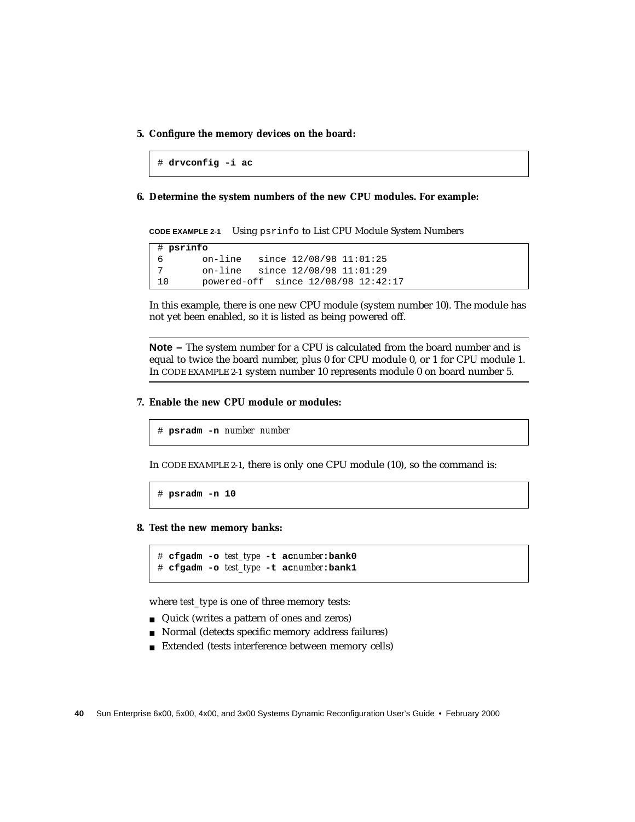**5. Configure the memory devices on the board:**

```
# drvconfig -i ac
```
<span id="page-51-0"></span>**6. Determine the system numbers of the new CPU modules. For example:**

**CODE EXAMPLE 2-1** Using psrinfo to List CPU Module System Numbers

```
# psrinfo
6 on-line since 12/08/98 11:01:25
7 on-line since 12/08/98 11:01:29
10 powered-off since 12/08/98 12:42:17
```
In this example, there is one new CPU module (system number 10). The module has not yet been enabled, so it is listed as being powered off.

**Note –** The system number for a CPU is calculated from the board number and is equal to twice the board number, plus 0 for CPU module 0, or 1 for CPU module 1. In [CODE EXAMPLE 2-1](#page-51-0) system number 10 represents module 0 on board number 5.

#### **7. Enable the new CPU module or modules:**

```
# psradm -n number number
```
In [CODE EXAMPLE 2-1](#page-51-0), there is only one CPU module (10), so the command is:

# **psradm -n 10**

**8. Test the new memory banks:**

```
# cfgadm -o test_type -t acnumber:bank0
# cfgadm -o test_type -t acnumber:bank1
```
where *test\_type* is one of three memory tests:

- Quick (writes a pattern of ones and zeros)
- Normal (detects specific memory address failures)
- Extended (tests interference between memory cells)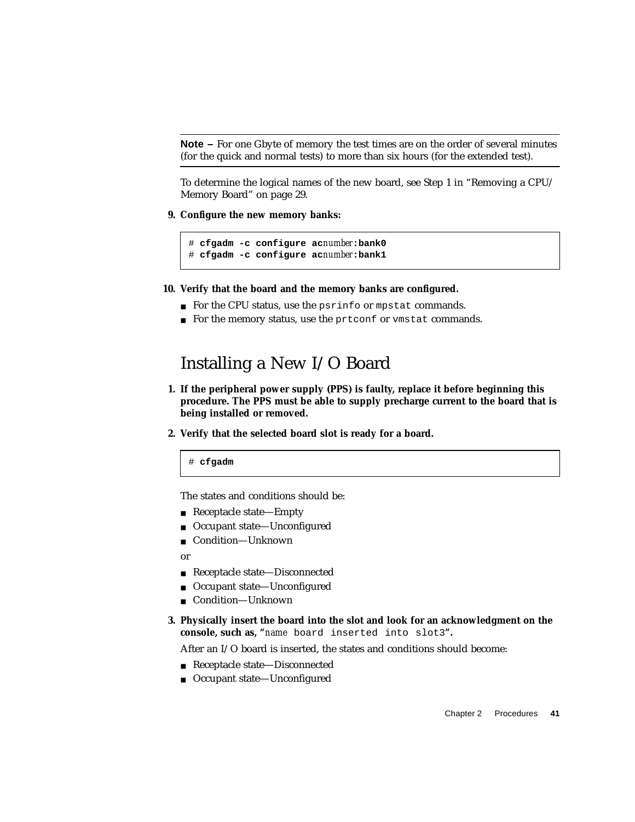**Note –** For one Gbyte of memory the test times are on the order of several minutes (for the quick and normal tests) to more than six hours (for the extended test).

To determine the logical names of the new board, see [Step 1](#page-40-2) in ["Removing a CPU/](#page-40-1) [Memory Board" on page 29](#page-40-1).

**9. Configure the new memory banks:**

```
# cfgadm -c configure acnumber:bank0
# cfgadm -c configure acnumber:bank1
```
- **10. Verify that the board and the memory banks are configured.**
	- For the CPU status, use the psrinfo or mpstat commands.
	- For the memory status, use the prtconf or vmstat commands.

### Installing a New I/O Board

- <span id="page-52-0"></span>**1. If the peripheral power supply (PPS) is faulty, replace it before beginning this procedure. The PPS must be able to supply precharge current to the board that is being installed or removed.**
- **2. Verify that the selected board slot is ready for a board.**

# **cfgadm**

The states and conditions should be:

- Receptacle state—Empty
- Occupant state—Unconfigured
- Condition—Unknown

or

- Receptacle state—Disconnected
- Occupant state—Unconfigured
- Condition—Unknown
- **3. Physically insert the board into the slot and look for an acknowledgment on the console, such as, "***name* board inserted into slot3**".**

After an I/O board is inserted, the states and conditions should become:

- Receptacle state—Disconnected
- Occupant state—Unconfigured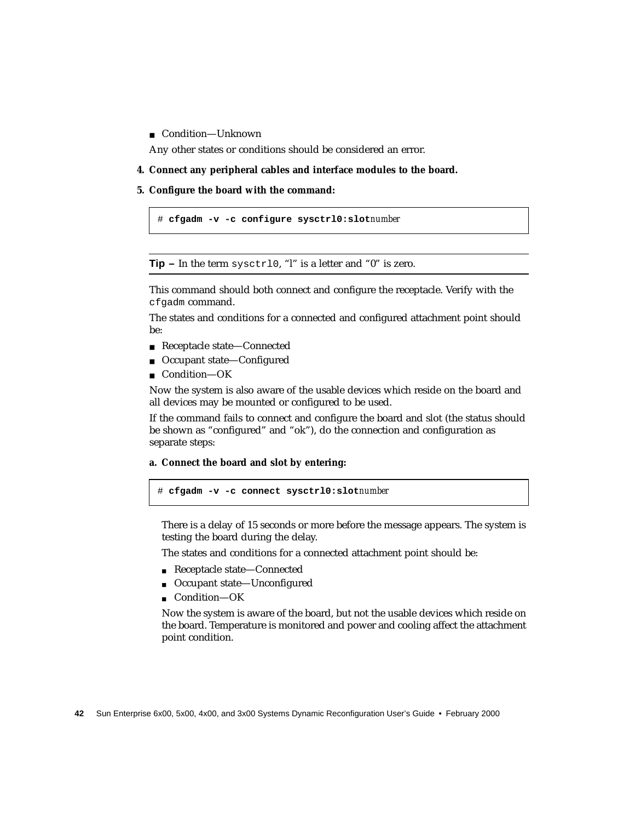■ Condition—Unknown

Any other states or conditions should be considered an error.

- **4. Connect any peripheral cables and interface modules to the board.**
- **5. Configure the board with the command:**

# **cfgadm -v -c configure sysctrl0:slot***number*

**Tip –** In the term sysctrl0, "l" is a letter and "0" is zero.

This command should both connect and configure the receptacle. Verify with the cfgadm command.

The states and conditions for a connected and configured attachment point should be:

- Receptacle state—Connected
- Occupant state—Configured
- Condition—OK

Now the system is also aware of the usable devices which reside on the board and all devices may be mounted or configured to be used.

If the command fails to connect and configure the board and slot (the status should be shown as "configured" and "ok"), do the connection and configuration as separate steps:

#### **a. Connect the board and slot by entering:**

# **cfgadm -v -c connect sysctrl0:slot***number*

There is a delay of 15 seconds or more before the message appears. The system is testing the board during the delay.

The states and conditions for a connected attachment point should be:

- Receptacle state—Connected
- Occupant state—Unconfigured
- Condition—OK

Now the system is aware of the board, but not the usable devices which reside on the board. Temperature is monitored and power and cooling affect the attachment point condition.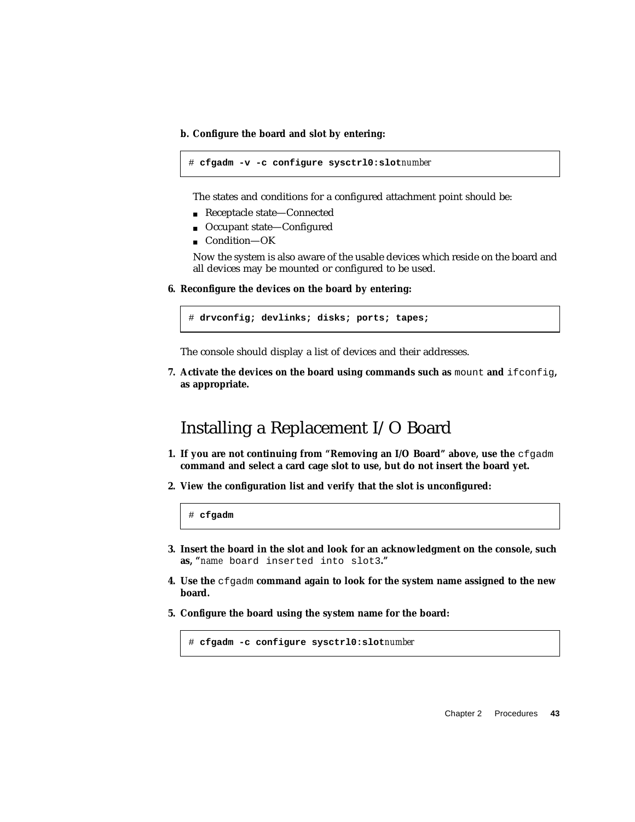**b. Configure the board and slot by entering:**

```
# cfgadm -v -c configure sysctrl0:slotnumber
```
The states and conditions for a configured attachment point should be:

- Receptacle state—Connected
- Occupant state—Configured
- Condition—OK

Now the system is also aware of the usable devices which reside on the board and all devices may be mounted or configured to be used.

**6. Reconfigure the devices on the board by entering:**

# **drvconfig; devlinks; disks; ports; tapes;**

The console should display a list of devices and their addresses.

**7. Activate the devices on the board using commands such as** mount **and** ifconfig**, as appropriate.**

## Installing a Replacement I/O Board

- <span id="page-54-0"></span>**1. If you are not continuing from ["Removing an I/O Board"](#page-43-0) above, use the** cfgadm **command and select a card cage slot to use, but do not insert the board yet.**
- **2. View the configuration list and verify that the slot is unconfigured:**

# **cfgadm**

- **3. Insert the board in the slot and look for an acknowledgment on the console, such as, "***name* board inserted into slot3**."**
- **4. Use the** cfgadm **command again to look for the system name assigned to the new board.**
- **5. Configure the board using the system name for the board:**

```
# cfgadm -c configure sysctrl0:slotnumber
```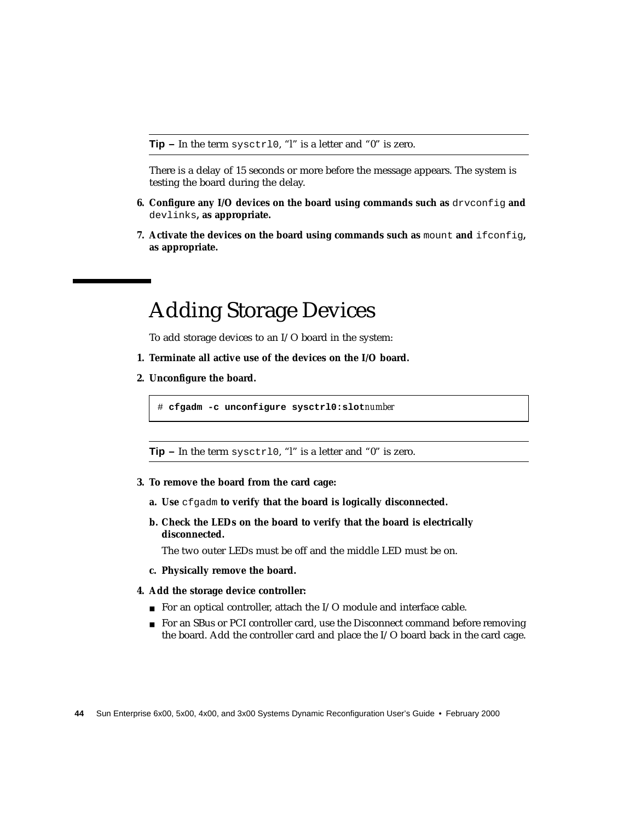**Tip –** In the term sysctrl0, "l" is a letter and "0" is zero.

There is a delay of 15 seconds or more before the message appears. The system is testing the board during the delay.

- **6. Configure any I/O devices on the board using commands such as** drvconfig **and** devlinks**, as appropriate.**
- **7. Activate the devices on the board using commands such as** mount **and** ifconfig**, as appropriate.**

# <span id="page-55-0"></span>Adding Storage Devices

To add storage devices to an I/O board in the system:

- **1. Terminate all active use of the devices on the I/O board.**
- **2. Unconfigure the board.**

# **cfgadm -c unconfigure sysctrl0:slot***number*

**Tip –** In the term sysctrl0, "l" is a letter and "0" is zero.

- **3. To remove the board from the card cage:**
	- **a. Use** cfgadm **to verify that the board is logically disconnected.**
	- **b. Check the LEDs on the board to verify that the board is electrically disconnected.**

The two outer LEDs must be off and the middle LED must be on.

- **c. Physically remove the board.**
- **4. Add the storage device controller:**
	- For an optical controller, attach the I/O module and interface cable.
	- For an SBus or PCI controller card, use the Disconnect command before removing the board. Add the controller card and place the I/O board back in the card cage.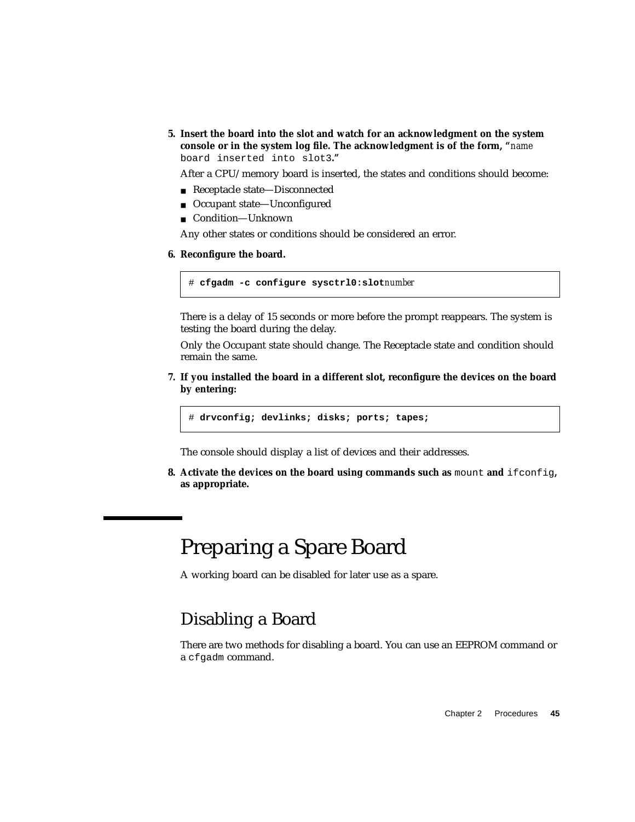**5. Insert the board into the slot and watch for an acknowledgment on the system console or in the system log file. The acknowledgment is of the form, "***name* board inserted into slot3**."**

After a CPU/memory board is inserted, the states and conditions should become:

- Receptacle state—Disconnected
- Occupant state—Unconfigured
- Condition—Unknown

Any other states or conditions should be considered an error.

#### **6. Reconfigure the board.**

# **cfgadm -c configure sysctrl0:slot***number*

There is a delay of 15 seconds or more before the prompt reappears. The system is testing the board during the delay.

Only the Occupant state should change. The Receptacle state and condition should remain the same.

**7. If you installed the board in a different slot, reconfigure the devices on the board by entering:**

# **drvconfig; devlinks; disks; ports; tapes;**

The console should display a list of devices and their addresses.

**8. Activate the devices on the board using commands such as** mount **and** ifconfig**, as appropriate.**

## <span id="page-56-0"></span>Preparing a Spare Board

A working board can be disabled for later use as a spare.

## Disabling a Board

There are two methods for disabling a board. You can use an EEPROM command or a cfgadm command.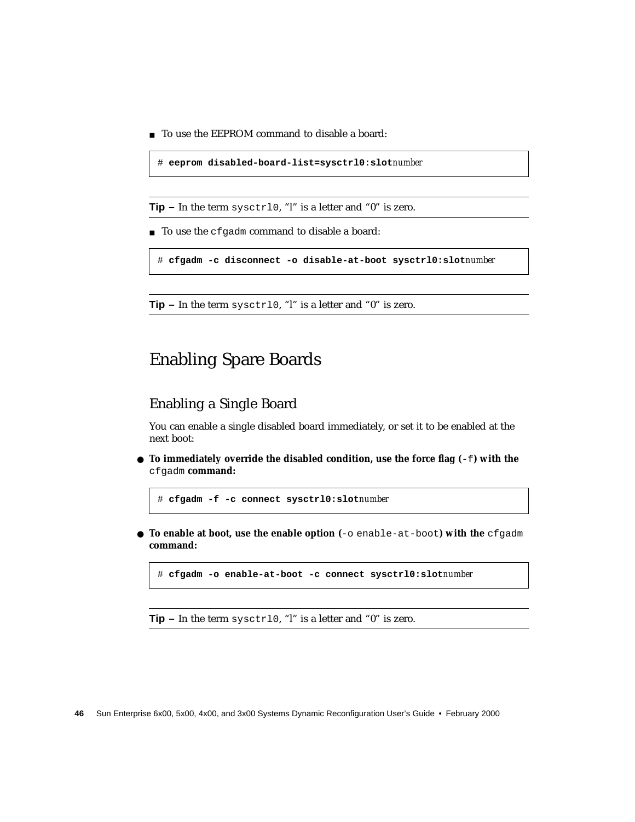■ To use the EEPROM command to disable a board:

```
# eeprom disabled-board-list=sysctrl0:slotnumber
```
**Tip –** In the term sysctrl0, "l" is a letter and "0" is zero.

■ To use the cfgadm command to disable a board:

```
# cfgadm -c disconnect -o disable-at-boot sysctrl0:slotnumber
```
**Tip –** In the term sysctrl0, "l" is a letter and "0" is zero.

### Enabling Spare Boards

### Enabling a Single Board

You can enable a single disabled board immediately, or set it to be enabled at the next boot:

● **To immediately override the disabled condition, use the force flag (**-f**) with the** cfgadm **command:**

# **cfgadm -f -c connect sysctrl0:slot***number*

● **To enable at boot, use the enable option (**-o enable-at-boot**) with the** cfgadm **command:**

# **cfgadm -o enable-at-boot -c connect sysctrl0:slot***number*

**Tip –** In the term sysctrl0, "l" is a letter and "0" is zero.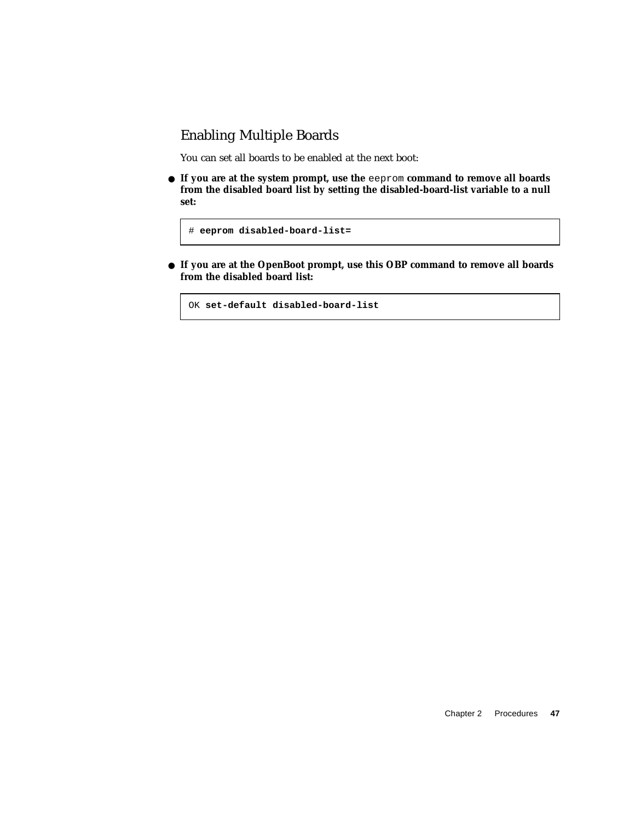### Enabling Multiple Boards

You can set all boards to be enabled at the next boot:

● **If you are at the system prompt, use the** eeprom **command to remove all boards from the disabled board list by setting the disabled-board-list variable to a null set:**

```
# eeprom disabled-board-list=
```
● **If you are at the OpenBoot prompt, use this OBP command to remove all boards from the disabled board list:**

OK **set-default disabled-board-list**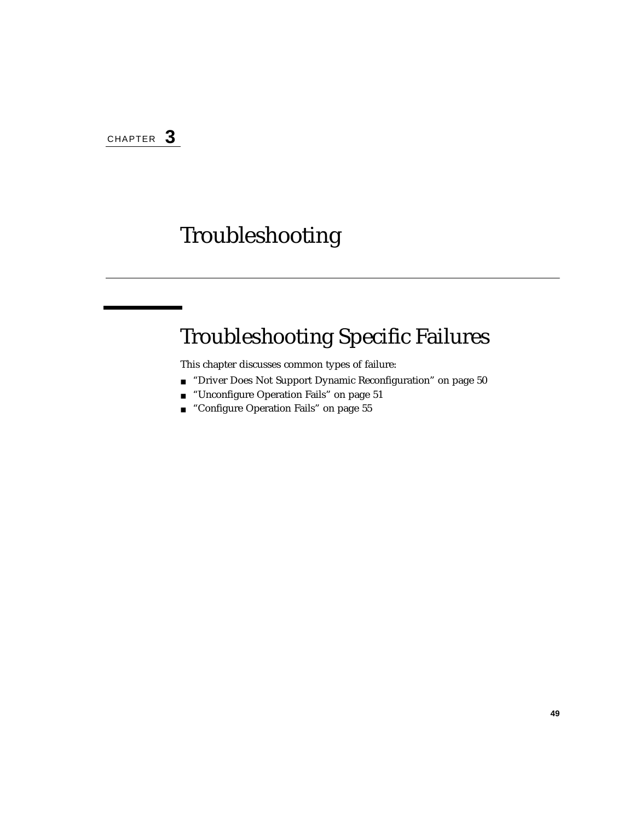# Troubleshooting

# Troubleshooting Specific Failures

This chapter discusses common types of failure:

- ["Driver Does Not Support Dynamic Reconfiguration" on page 50](#page-61-0)
- ["Unconfigure Operation Fails" on page 51](#page-62-0)
- ["Configure Operation Fails" on page 55](#page-66-0)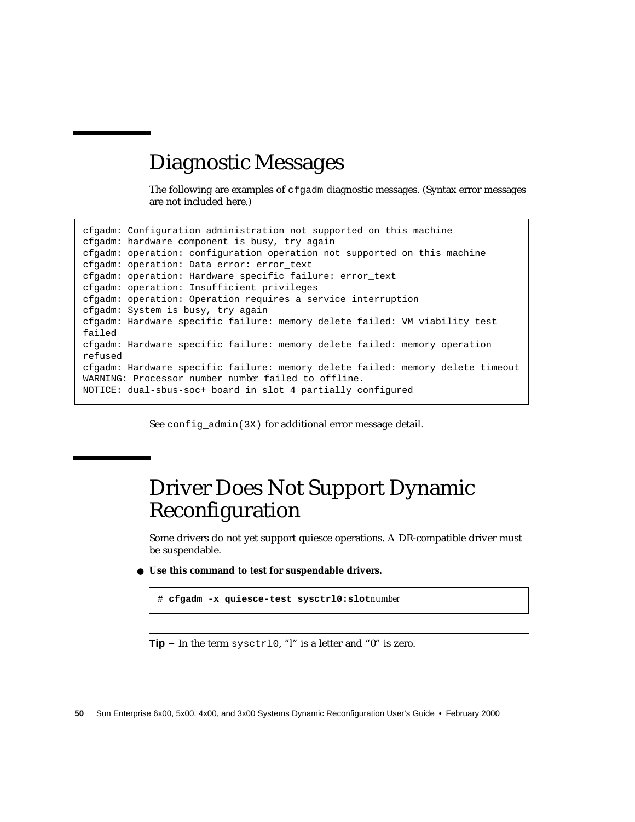# Diagnostic Messages

The following are examples of cfgadm diagnostic messages. (Syntax error messages are not included here.)

```
cfgadm: Configuration administration not supported on this machine
cfgadm: hardware component is busy, try again
cfgadm: operation: configuration operation not supported on this machine
cfgadm: operation: Data error: error_text
cfgadm: operation: Hardware specific failure: error_text
cfgadm: operation: Insufficient privileges
cfgadm: operation: Operation requires a service interruption
cfgadm: System is busy, try again
cfgadm: Hardware specific failure: memory delete failed: VM viability test
failed
cfgadm: Hardware specific failure: memory delete failed: memory operation
refused
cfgadm: Hardware specific failure: memory delete failed: memory delete timeout
WARNING: Processor number number failed to offline.
NOTICE: dual-sbus-soc+ board in slot 4 partially configured
```
See config\_admin(3X) for additional error message detail.

# <span id="page-61-0"></span>Driver Does Not Support Dynamic Reconfiguration

Some drivers do not yet support quiesce operations. A DR-compatible driver must be suspendable.

● **Use this command to test for suspendable drivers.**

# **cfgadm -x quiesce-test sysctrl0:slot***number*

**Tip –** In the term sysctrl0, "l" is a letter and "0" is zero.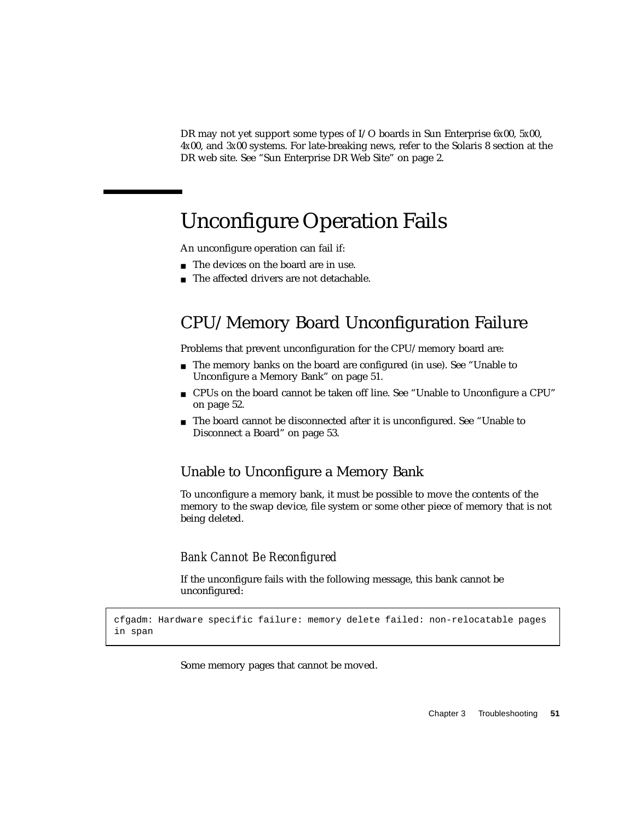DR may not yet support some types of I/O boards in Sun Enterprise 6*x*00, 5*x*00, 4*x*00, and 3*x*00 systems. For late-breaking news, refer to the Solaris 8 section at the DR web site. See ["Sun Enterprise DR Web Site" on page 2.](#page-13-0)

# <span id="page-62-0"></span>Unconfigure Operation Fails

An unconfigure operation can fail if:

- The devices on the board are in use.
- The affected drivers are not detachable.

## CPU/Memory Board Unconfiguration Failure

Problems that prevent unconfiguration for the CPU/memory board are:

- The memory banks on the board are configured (in use). See ["Unable to](#page-62-1) [Unconfigure a Memory Bank" on page 51.](#page-62-1)
- CPUs on the board cannot be taken off line. See ["Unable to Unconfigure a CPU"](#page-63-0) [on page 52](#page-63-0).
- The board cannot be disconnected after it is unconfigured. See ["Unable to](#page-64-0) [Disconnect a Board" on page 53.](#page-64-0)

### <span id="page-62-1"></span>Unable to Unconfigure a Memory Bank

To unconfigure a memory bank, it must be possible to move the contents of the memory to the swap device, file system or some other piece of memory that is not being deleted.

### *Bank Cannot Be Reconfigured*

If the unconfigure fails with the following message, this bank cannot be unconfigured:

cfgadm: Hardware specific failure: memory delete failed: non-relocatable pages in span

Some memory pages that cannot be moved.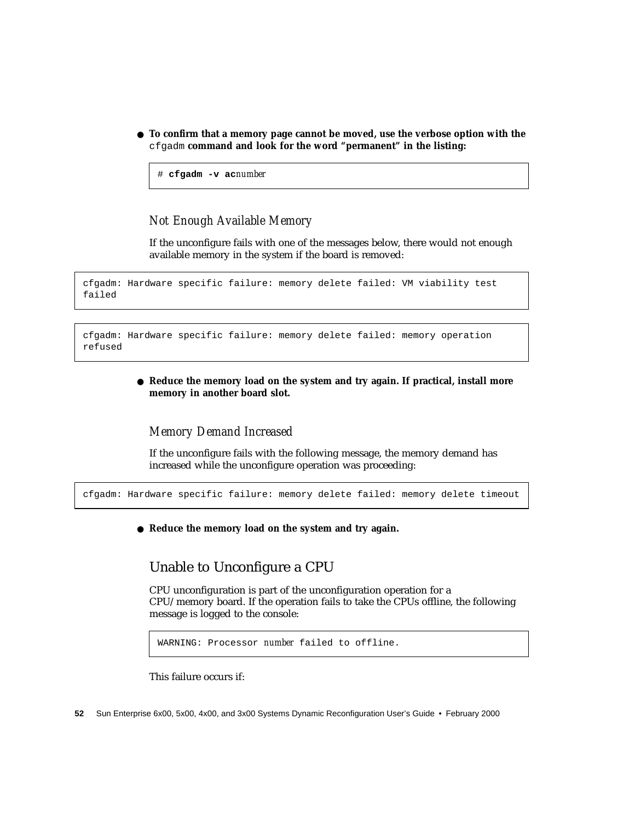● **To confirm that a memory page cannot be moved, use the verbose option with the** cfgadm **command and look for the word "permanent" in the listing:**

# **cfgadm -v ac***number*

### *Not Enough Available Memory*

If the unconfigure fails with one of the messages below, there would not enough available memory in the system if the board is removed:

cfgadm: Hardware specific failure: memory delete failed: VM viability test failed

cfgadm: Hardware specific failure: memory delete failed: memory operation refused

> ● **Reduce the memory load on the system and try again. If practical, install more memory in another board slot.**

### *Memory Demand Increased*

If the unconfigure fails with the following message, the memory demand has increased while the unconfigure operation was proceeding:

<span id="page-63-0"></span>cfgadm: Hardware specific failure: memory delete failed: memory delete timeout

● **Reduce the memory load on the system and try again.**

Unable to Unconfigure a CPU

CPU unconfiguration is part of the unconfiguration operation for a CPU/memory board. If the operation fails to take the CPUs offline, the following message is logged to the console:

WARNING: Processor *number* failed to offline.

This failure occurs if: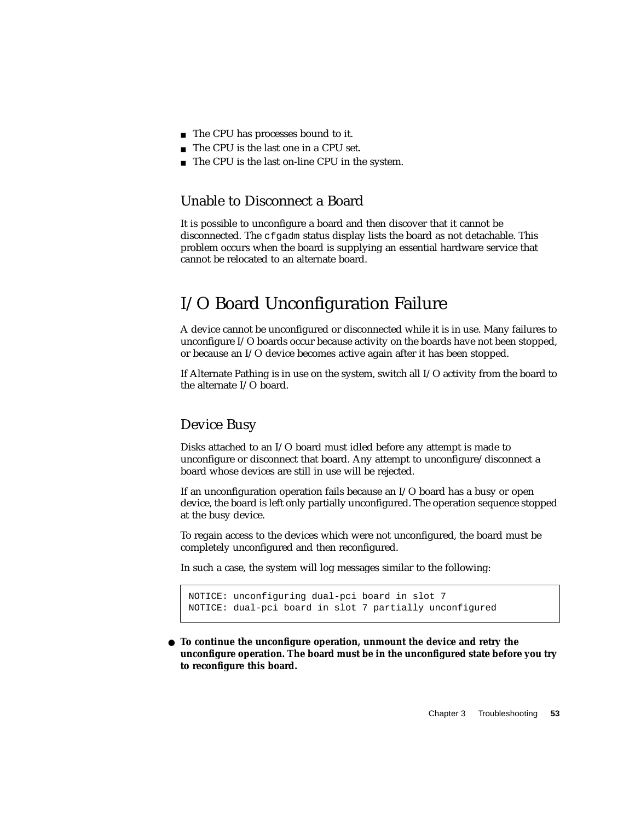- The CPU has processes bound to it.
- The CPU is the last one in a CPU set.
- The CPU is the last on-line CPU in the system.

### <span id="page-64-0"></span>Unable to Disconnect a Board

It is possible to unconfigure a board and then discover that it cannot be disconnected. The cfgadm status display lists the board as not detachable. This problem occurs when the board is supplying an essential hardware service that cannot be relocated to an alternate board.

## I/O Board Unconfiguration Failure

A device cannot be unconfigured or disconnected while it is in use. Many failures to unconfigure I/O boards occur because activity on the boards have not been stopped, or because an I/O device becomes active again after it has been stopped.

If Alternate Pathing is in use on the system, switch all I/O activity from the board to the alternate I/O board.

### Device Busy

Disks attached to an I/O board must idled before any attempt is made to unconfigure or disconnect that board. Any attempt to unconfigure/disconnect a board whose devices are still in use will be rejected.

If an unconfiguration operation fails because an I/O board has a busy or open device, the board is left only partially unconfigured. The operation sequence stopped at the busy device.

To regain access to the devices which were not unconfigured, the board must be completely unconfigured and then reconfigured.

In such a case, the system will log messages similar to the following:

```
NOTICE: unconfiguring dual-pci board in slot 7
NOTICE: dual-pci board in slot 7 partially unconfigured
```
● **To continue the unconfigure operation, unmount the device and retry the unconfigure operation. The board must be in the unconfigured state before you try to reconfigure this board.**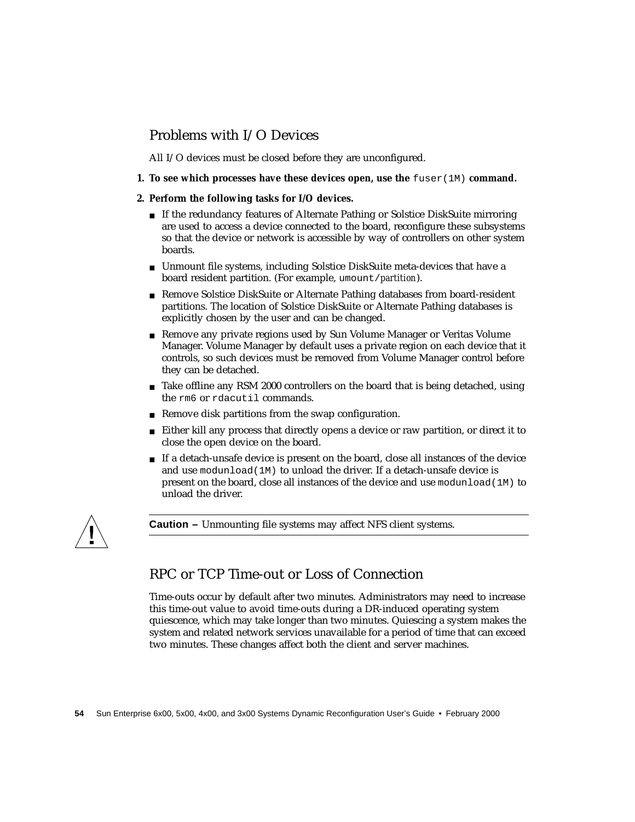### Problems with I/O Devices

All I/O devices must be closed before they are unconfigured.

- **1. To see which processes have these devices open, use the**  $f{user(1M)}$  **command.**
- **2. Perform the following tasks for I/O devices.**
	- If the redundancy features of Alternate Pathing or Solstice DiskSuite mirroring are used to access a device connected to the board, reconfigure these subsystems so that the device or network is accessible by way of controllers on other system boards.
	- Unmount file systems, including Solstice DiskSuite meta-devices that have a board resident partition. (For example, umount/*partition*).
	- Remove Solstice DiskSuite or Alternate Pathing databases from board-resident partitions. The location of Solstice DiskSuite or Alternate Pathing databases is explicitly chosen by the user and can be changed.
	- Remove any private regions used by Sun Volume Manager or Veritas Volume Manager. Volume Manager by default uses a private region on each device that it controls, so such devices must be removed from Volume Manager control before they can be detached.
	- Take offline any RSM 2000 controllers on the board that is being detached, using the rm6 or rdacutil commands.
	- Remove disk partitions from the swap configuration.
	- Either kill any process that directly opens a device or raw partition, or direct it to close the open device on the board.
	- If a detach-unsafe device is present on the board, close all instances of the device and use modunload( $1M$ ) to unload the driver. If a detach-unsafe device is present on the board, close all instances of the device and use  $mod(1M)$  to unload the driver.



**Caution –** Unmounting file systems may affect NFS client systems.

### RPC or TCP Time-out or Loss of Connection

Time-outs occur by default after two minutes. Administrators may need to increase this time-out value to avoid time-outs during a DR-induced operating system quiescence, which may take longer than two minutes. Quiescing a system makes the system and related network services unavailable for a period of time that can exceed two minutes. These changes affect both the client and server machines.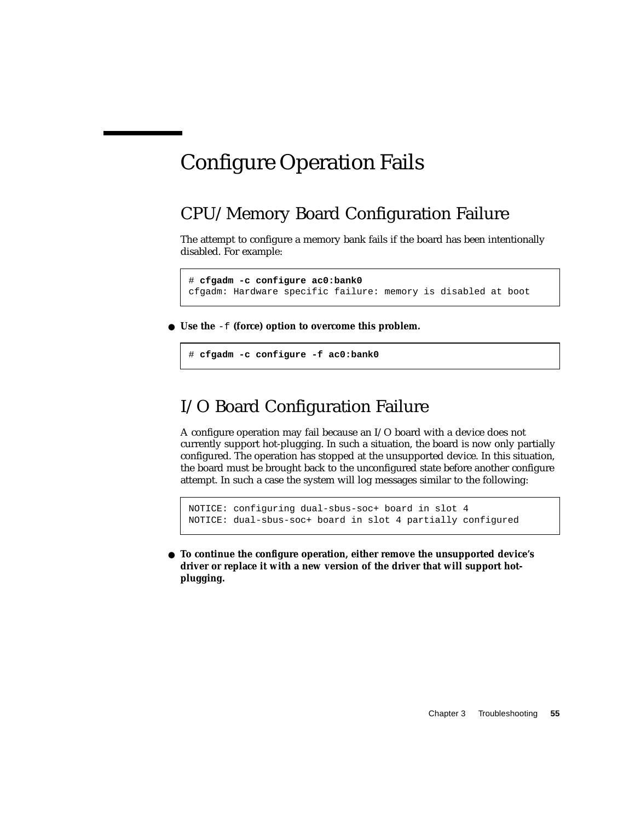# <span id="page-66-0"></span>Configure Operation Fails

## CPU/Memory Board Configuration Failure

The attempt to configure a memory bank fails if the board has been intentionally disabled. For example:

```
# cfgadm -c configure ac0:bank0
cfgadm: Hardware specific failure: memory is disabled at boot
```
● **Use the** -f **(force) option to overcome this problem.**

```
# cfgadm -c configure -f ac0:bank0
```
## I/O Board Configuration Failure

A configure operation may fail because an I/O board with a device does not currently support hot-plugging. In such a situation, the board is now only partially configured. The operation has stopped at the unsupported device. In this situation, the board must be brought back to the unconfigured state before another configure attempt. In such a case the system will log messages similar to the following:

NOTICE: configuring dual-sbus-soc+ board in slot 4 NOTICE: dual-sbus-soc+ board in slot 4 partially configured

● **To continue the configure operation, either remove the unsupported device's driver or replace it with a new version of the driver that will support hotplugging.**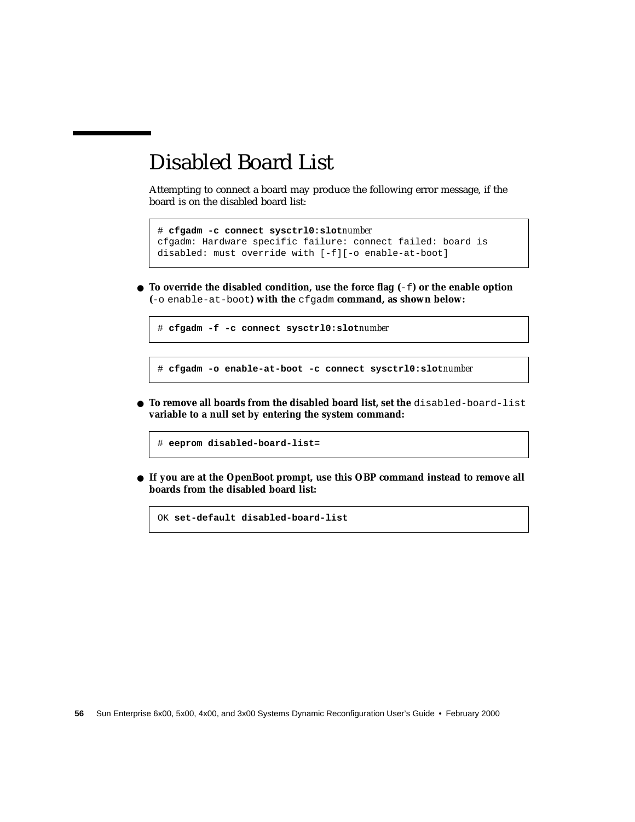## Disabled Board List

Attempting to connect a board may produce the following error message, if the board is on the disabled board list:

```
# cfgadm -c connect sysctrl0:slotnumber
cfgadm: Hardware specific failure: connect failed: board is
disabled: must override with [-f][-o enable-at-boot]
```
● **To override the disabled condition, use the force flag** ( $-$ f) or the enable option **(**-o enable-at-boot**) with the** cfgadm **command, as shown below:**

# **cfgadm -f -c connect sysctrl0:slot***number*

# **cfgadm -o enable-at-boot -c connect sysctrl0:slot***number*

● **To remove all boards from the disabled board list, set the** disabled-board-list **variable to a null set by entering the system command:**

# **eeprom disabled-board-list=**

● **If you are at the OpenBoot prompt, use this OBP command instead to remove all boards from the disabled board list:**

OK **set-default disabled-board-list**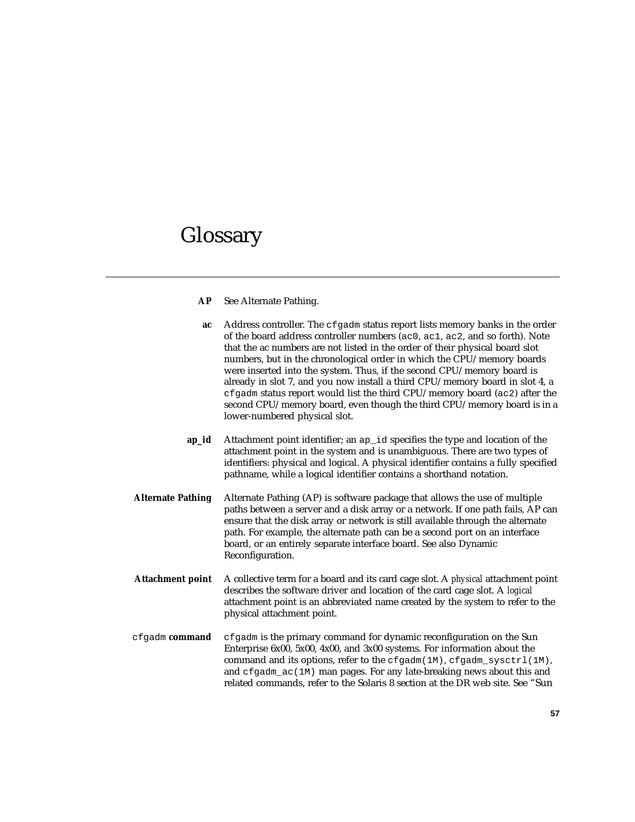## **Glossary**

#### **AP** See Alternate Pathing.

- **ac** Address controller. The cfgadm status report lists memory banks in the order of the board address controller numbers (ac0, ac1, ac2, and so forth). Note that the ac numbers are not listed in the order of their physical board slot numbers, but in the chronological order in which the CPU/memory boards were inserted into the system. Thus, if the second CPU/memory board is already in slot 7, and you now install a third CPU/memory board in slot 4, a  $cf$ gadm status report would list the third CPU/memory board (ac2) after the second CPU/memory board, even though the third CPU/memory board is in a lower-numbered physical slot.
- **ap\_id** Attachment point identifier; an ap\_id specifies the type and location of the attachment point in the system and is unambiguous. There are two types of identifiers: physical and logical. A physical identifier contains a fully specified pathname, while a logical identifier contains a shorthand notation.
- **Alternate Pathing** Alternate Pathing (AP) is software package that allows the use of multiple paths between a server and a disk array or a network. If one path fails, AP can ensure that the disk array or network is still available through the alternate path. For example, the alternate path can be a second port on an interface board, or an entirely separate interface board. See also Dynamic Reconfiguration.
- **Attachment point** A collective term for a board and its card cage slot. A *physical* attachment point describes the software driver and location of the card cage slot. A *logical* attachment point is an abbreviated name created by the system to refer to the physical attachment point.
- cfgadm **command** cfgadm is the primary command for dynamic reconfiguration on the Sun Enterprise 6x00, 5x00, 4x00, and 3x00 systems. For information about the command and its options, refer to the cfgadm(1M), cfgadm\_sysctrl(1M), and cfgadm\_ac(1M) man pages. For any late-breaking news about this and related commands, refer to the Solaris 8 section at the DR web site. See ["Sun](#page-13-0)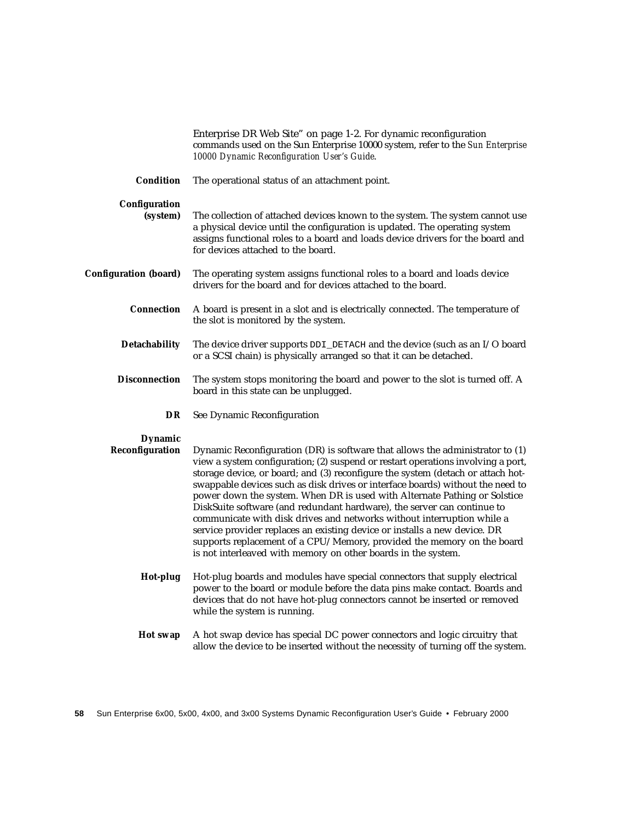|                              | Enterprise DR Web Site" on page 1-2. For dynamic reconfiguration<br>commands used on the Sun Enterprise 10000 system, refer to the Sun Enterprise<br>10000 Dynamic Reconfiguration User's Guide.                                                                                                                                                                                                                                                                                                                                                                                                                                                                                                                                                                                                 |
|------------------------------|--------------------------------------------------------------------------------------------------------------------------------------------------------------------------------------------------------------------------------------------------------------------------------------------------------------------------------------------------------------------------------------------------------------------------------------------------------------------------------------------------------------------------------------------------------------------------------------------------------------------------------------------------------------------------------------------------------------------------------------------------------------------------------------------------|
| <b>Condition</b>             | The operational status of an attachment point.                                                                                                                                                                                                                                                                                                                                                                                                                                                                                                                                                                                                                                                                                                                                                   |
| Configuration<br>(system)    | The collection of attached devices known to the system. The system cannot use<br>a physical device until the configuration is updated. The operating system<br>assigns functional roles to a board and loads device drivers for the board and<br>for devices attached to the board.                                                                                                                                                                                                                                                                                                                                                                                                                                                                                                              |
| <b>Configuration (board)</b> | The operating system assigns functional roles to a board and loads device<br>drivers for the board and for devices attached to the board.                                                                                                                                                                                                                                                                                                                                                                                                                                                                                                                                                                                                                                                        |
| <b>Connection</b>            | A board is present in a slot and is electrically connected. The temperature of<br>the slot is monitored by the system.                                                                                                                                                                                                                                                                                                                                                                                                                                                                                                                                                                                                                                                                           |
| Detachability                | The device driver supports DDI_DETACH and the device (such as an I/O board<br>or a SCSI chain) is physically arranged so that it can be detached.                                                                                                                                                                                                                                                                                                                                                                                                                                                                                                                                                                                                                                                |
| <b>Disconnection</b>         | The system stops monitoring the board and power to the slot is turned off. A<br>board in this state can be unplugged.                                                                                                                                                                                                                                                                                                                                                                                                                                                                                                                                                                                                                                                                            |
| DR                           | See Dynamic Reconfiguration                                                                                                                                                                                                                                                                                                                                                                                                                                                                                                                                                                                                                                                                                                                                                                      |
| Dynamic<br>Reconfiguration   | Dynamic Reconfiguration (DR) is software that allows the administrator to (1)<br>view a system configuration; (2) suspend or restart operations involving a port,<br>storage device, or board; and (3) reconfigure the system (detach or attach hot-<br>swappable devices such as disk drives or interface boards) without the need to<br>power down the system. When DR is used with Alternate Pathing or Solstice<br>DiskSuite software (and redundant hardware), the server can continue to<br>communicate with disk drives and networks without interruption while a<br>service provider replaces an existing device or installs a new device. DR<br>supports replacement of a CPU/Memory, provided the memory on the board<br>is not interleaved with memory on other boards in the system. |
| Hot-plug                     | Hot-plug boards and modules have special connectors that supply electrical<br>power to the board or module before the data pins make contact. Boards and<br>devices that do not have hot-plug connectors cannot be inserted or removed<br>while the system is running.                                                                                                                                                                                                                                                                                                                                                                                                                                                                                                                           |
| Hot swap                     | A hot swap device has special DC power connectors and logic circuitry that<br>allow the device to be inserted without the necessity of turning off the system.                                                                                                                                                                                                                                                                                                                                                                                                                                                                                                                                                                                                                                   |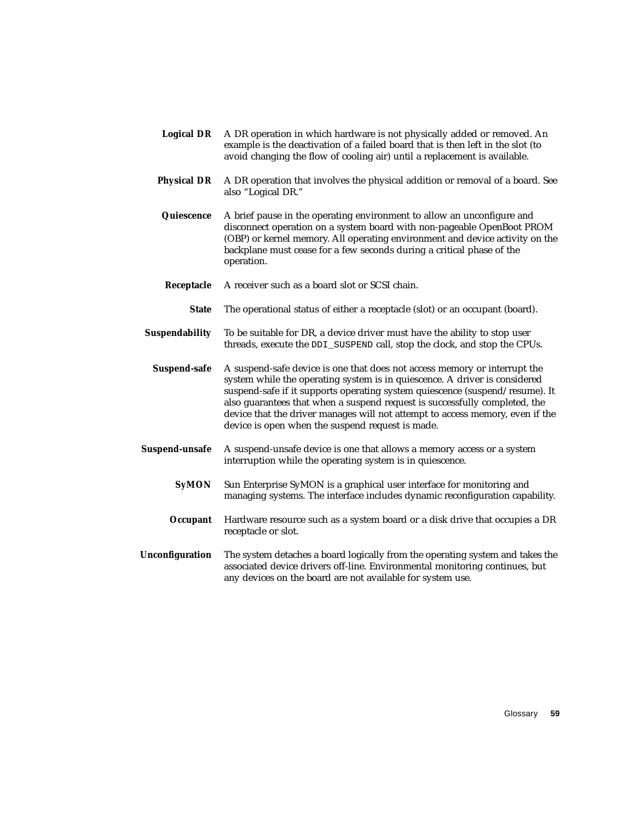- **Logical DR** A DR operation in which hardware is not physically added or removed. An example is the deactivation of a failed board that is then left in the slot (to avoid changing the flow of cooling air) until a replacement is available.
- **Physical DR** A DR operation that involves the physical addition or removal of a board. See also "Logical DR."
- **Quiescence** A brief pause in the operating environment to allow an unconfigure and disconnect operation on a system board with non-pageable OpenBoot PROM (OBP) or kernel memory. All operating environment and device activity on the backplane must cease for a few seconds during a critical phase of the operation.
- **Receptacle** A receiver such as a board slot or SCSI chain.
	- **State** The operational status of either a receptacle (slot) or an occupant (board).
- **Suspendability** To be suitable for DR, a device driver must have the ability to stop user threads, execute the DDI\_SUSPEND call, stop the clock, and stop the CPUs.
	- **Suspend-safe** A suspend-safe device is one that does not access memory or interrupt the system while the operating system is in quiescence. A driver is considered suspend-safe if it supports operating system quiescence (suspend/resume). It also guarantees that when a suspend request is successfully completed, the device that the driver manages will not attempt to access memory, even if the device is open when the suspend request is made.
- **Suspend-unsafe** A suspend-unsafe device is one that allows a memory access or a system interruption while the operating system is in quiescence.
	- **SyMON** Sun Enterprise SyMON is a graphical user interface for monitoring and managing systems. The interface includes dynamic reconfiguration capability.
	- **Occupant** Hardware resource such as a system board or a disk drive that occupies a DR receptacle or slot.
- **Unconfiguration** The system detaches a board logically from the operating system and takes the associated device drivers off-line. Environmental monitoring continues, but any devices on the board are not available for system use.